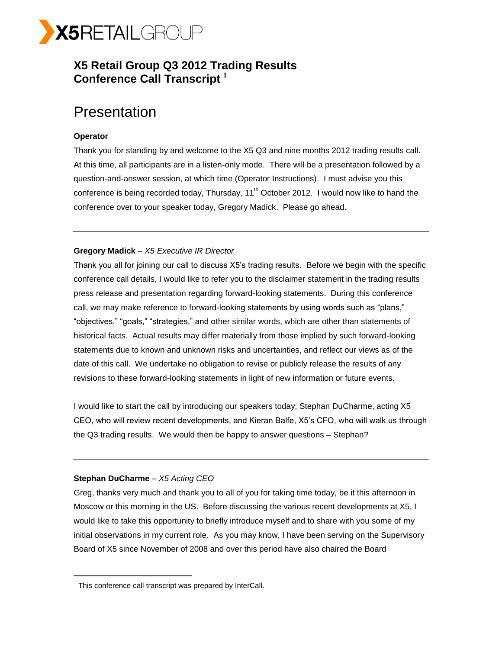

# **X5 Retail Group Q3 2012 Trading Results Conference Call Transcript <sup>1</sup>**

# **Presentation**

# **Operator**

Thank you for standing by and welcome to the X5 Q3 and nine months 2012 trading results call. At this time, all participants are in a listen-only mode. There will be a presentation followed by a question-and-answer session, at which time (Operator Instructions). I must advise you this conference is being recorded today, Thursday,  $11<sup>th</sup>$  October 2012. I would now like to hand the conference over to your speaker today, Gregory Madick. Please go ahead.

# **Gregory Madick** – *X5 Executive IR Director*

Thank you all for joining our call to discuss X5's trading results. Before we begin with the specific conference call details, I would like to refer you to the disclaimer statement in the trading results press release and presentation regarding forward-looking statements. During this conference call, we may make reference to forward-looking statements by using words such as "plans," "objectives," "goals," "strategies," and other similar words, which are other than statements of historical facts. Actual results may differ materially from those implied by such forward-looking statements due to known and unknown risks and uncertainties, and reflect our views as of the date of this call. We undertake no obligation to revise or publicly release the results of any revisions to these forward-looking statements in light of new information or future events.

I would like to start the call by introducing our speakers today; Stephan DuCharme, acting X5 CEO, who will review recent developments, and Kieran Balfe, X5's CFO, who will walk us through the Q3 trading results. We would then be happy to answer questions – Stephan?

# **Stephan DuCharme** *– X5 Acting CEO*

 $\overline{a}$ 

Greg, thanks very much and thank you to all of you for taking time today, be it this afternoon in Moscow or this morning in the US. Before discussing the various recent developments at X5, I would like to take this opportunity to briefly introduce myself and to share with you some of my initial observations in my current role. As you may know, I have been serving on the Supervisory Board of X5 since November of 2008 and over this period have also chaired the Board

 $1$  This conference call transcript was prepared by InterCall.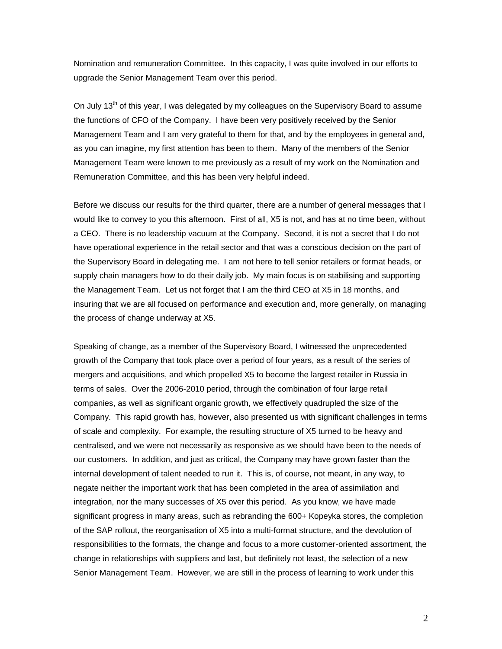Nomination and remuneration Committee. In this capacity, I was quite involved in our efforts to upgrade the Senior Management Team over this period.

On July  $13<sup>th</sup>$  of this year, I was delegated by my colleagues on the Supervisory Board to assume the functions of CFO of the Company. I have been very positively received by the Senior Management Team and I am very grateful to them for that, and by the employees in general and, as you can imagine, my first attention has been to them. Many of the members of the Senior Management Team were known to me previously as a result of my work on the Nomination and Remuneration Committee, and this has been very helpful indeed.

Before we discuss our results for the third quarter, there are a number of general messages that I would like to convey to you this afternoon. First of all, X5 is not, and has at no time been, without a CEO. There is no leadership vacuum at the Company. Second, it is not a secret that I do not have operational experience in the retail sector and that was a conscious decision on the part of the Supervisory Board in delegating me. I am not here to tell senior retailers or format heads, or supply chain managers how to do their daily job. My main focus is on stabilising and supporting the Management Team. Let us not forget that I am the third CEO at X5 in 18 months, and insuring that we are all focused on performance and execution and, more generally, on managing the process of change underway at X5.

Speaking of change, as a member of the Supervisory Board, I witnessed the unprecedented growth of the Company that took place over a period of four years, as a result of the series of mergers and acquisitions, and which propelled X5 to become the largest retailer in Russia in terms of sales. Over the 2006-2010 period, through the combination of four large retail companies, as well as significant organic growth, we effectively quadrupled the size of the Company. This rapid growth has, however, also presented us with significant challenges in terms of scale and complexity. For example, the resulting structure of X5 turned to be heavy and centralised, and we were not necessarily as responsive as we should have been to the needs of our customers. In addition, and just as critical, the Company may have grown faster than the internal development of talent needed to run it. This is, of course, not meant, in any way, to negate neither the important work that has been completed in the area of assimilation and integration, nor the many successes of X5 over this period. As you know, we have made significant progress in many areas, such as rebranding the 600+ Kopeyka stores, the completion of the SAP rollout, the reorganisation of X5 into a multi-format structure, and the devolution of responsibilities to the formats, the change and focus to a more customer-oriented assortment, the change in relationships with suppliers and last, but definitely not least, the selection of a new Senior Management Team. However, we are still in the process of learning to work under this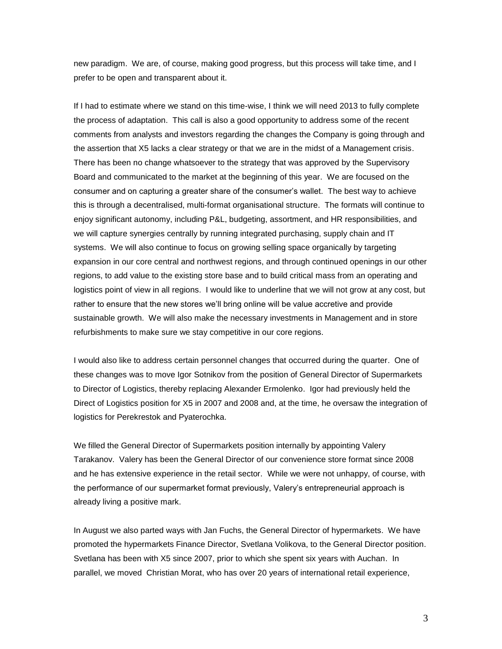new paradigm. We are, of course, making good progress, but this process will take time, and I prefer to be open and transparent about it.

If I had to estimate where we stand on this time-wise, I think we will need 2013 to fully complete the process of adaptation. This call is also a good opportunity to address some of the recent comments from analysts and investors regarding the changes the Company is going through and the assertion that X5 lacks a clear strategy or that we are in the midst of a Management crisis. There has been no change whatsoever to the strategy that was approved by the Supervisory Board and communicated to the market at the beginning of this year. We are focused on the consumer and on capturing a greater share of the consumer's wallet. The best way to achieve this is through a decentralised, multi-format organisational structure. The formats will continue to enjoy significant autonomy, including P&L, budgeting, assortment, and HR responsibilities, and we will capture synergies centrally by running integrated purchasing, supply chain and IT systems. We will also continue to focus on growing selling space organically by targeting expansion in our core central and northwest regions, and through continued openings in our other regions, to add value to the existing store base and to build critical mass from an operating and logistics point of view in all regions. I would like to underline that we will not grow at any cost, but rather to ensure that the new stores we'll bring online will be value accretive and provide sustainable growth. We will also make the necessary investments in Management and in store refurbishments to make sure we stay competitive in our core regions.

I would also like to address certain personnel changes that occurred during the quarter. One of these changes was to move Igor Sotnikov from the position of General Director of Supermarkets to Director of Logistics, thereby replacing Alexander Ermolenko. Igor had previously held the Direct of Logistics position for X5 in 2007 and 2008 and, at the time, he oversaw the integration of logistics for Perekrestok and Pyaterochka.

We filled the General Director of Supermarkets position internally by appointing Valery Tarakanov. Valery has been the General Director of our convenience store format since 2008 and he has extensive experience in the retail sector. While we were not unhappy, of course, with the performance of our supermarket format previously, Valery's entrepreneurial approach is already living a positive mark.

In August we also parted ways with Jan Fuchs, the General Director of hypermarkets. We have promoted the hypermarkets Finance Director, Svetlana Volikova, to the General Director position. Svetlana has been with X5 since 2007, prior to which she spent six years with Auchan. In parallel, we moved Christian Morat, who has over 20 years of international retail experience,

3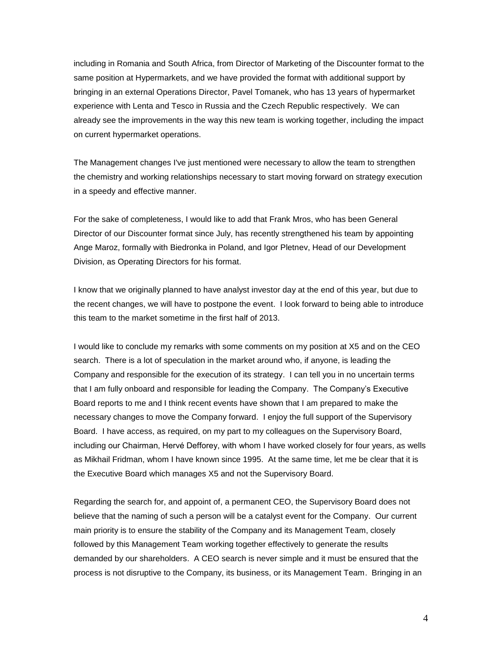including in Romania and South Africa, from Director of Marketing of the Discounter format to the same position at Hypermarkets, and we have provided the format with additional support by bringing in an external Operations Director, Pavel Tomanek, who has 13 years of hypermarket experience with Lenta and Tesco in Russia and the Czech Republic respectively. We can already see the improvements in the way this new team is working together, including the impact on current hypermarket operations.

The Management changes I've just mentioned were necessary to allow the team to strengthen the chemistry and working relationships necessary to start moving forward on strategy execution in a speedy and effective manner.

For the sake of completeness, I would like to add that Frank Mros, who has been General Director of our Discounter format since July, has recently strengthened his team by appointing Ange Maroz, formally with Biedronka in Poland, and Igor Pletnev, Head of our Development Division, as Operating Directors for his format.

I know that we originally planned to have analyst investor day at the end of this year, but due to the recent changes, we will have to postpone the event. I look forward to being able to introduce this team to the market sometime in the first half of 2013.

I would like to conclude my remarks with some comments on my position at X5 and on the CEO search. There is a lot of speculation in the market around who, if anyone, is leading the Company and responsible for the execution of its strategy. I can tell you in no uncertain terms that I am fully onboard and responsible for leading the Company. The Company's Executive Board reports to me and I think recent events have shown that I am prepared to make the necessary changes to move the Company forward. I enjoy the full support of the Supervisory Board. I have access, as required, on my part to my colleagues on the Supervisory Board, including our Chairman, Hervé Defforey, with whom I have worked closely for four years, as wells as Mikhail Fridman, whom I have known since 1995. At the same time, let me be clear that it is the Executive Board which manages X5 and not the Supervisory Board.

Regarding the search for, and appoint of, a permanent CEO, the Supervisory Board does not believe that the naming of such a person will be a catalyst event for the Company. Our current main priority is to ensure the stability of the Company and its Management Team, closely followed by this Management Team working together effectively to generate the results demanded by our shareholders. A CEO search is never simple and it must be ensured that the process is not disruptive to the Company, its business, or its Management Team. Bringing in an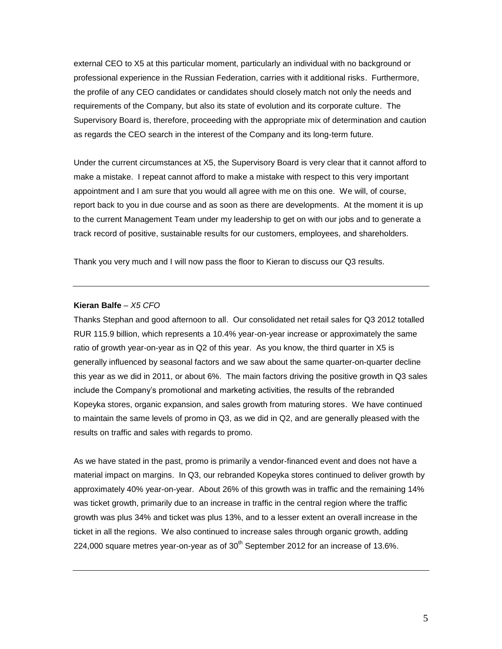external CEO to X5 at this particular moment, particularly an individual with no background or professional experience in the Russian Federation, carries with it additional risks. Furthermore, the profile of any CEO candidates or candidates should closely match not only the needs and requirements of the Company, but also its state of evolution and its corporate culture. The Supervisory Board is, therefore, proceeding with the appropriate mix of determination and caution as regards the CEO search in the interest of the Company and its long-term future.

Under the current circumstances at X5, the Supervisory Board is very clear that it cannot afford to make a mistake. I repeat cannot afford to make a mistake with respect to this very important appointment and I am sure that you would all agree with me on this one. We will, of course, report back to you in due course and as soon as there are developments. At the moment it is up to the current Management Team under my leadership to get on with our jobs and to generate a track record of positive, sustainable results for our customers, employees, and shareholders.

Thank you very much and I will now pass the floor to Kieran to discuss our Q3 results.

#### **Kieran Balfe** *– X5 CFO*

Thanks Stephan and good afternoon to all. Our consolidated net retail sales for Q3 2012 totalled RUR 115.9 billion, which represents a 10.4% year-on-year increase or approximately the same ratio of growth year-on-year as in Q2 of this year. As you know, the third quarter in X5 is generally influenced by seasonal factors and we saw about the same quarter-on-quarter decline this year as we did in 2011, or about 6%. The main factors driving the positive growth in Q3 sales include the Company's promotional and marketing activities, the results of the rebranded Kopeyka stores, organic expansion, and sales growth from maturing stores. We have continued to maintain the same levels of promo in Q3, as we did in Q2, and are generally pleased with the results on traffic and sales with regards to promo.

As we have stated in the past, promo is primarily a vendor-financed event and does not have a material impact on margins. In Q3, our rebranded Kopeyka stores continued to deliver growth by approximately 40% year-on-year. About 26% of this growth was in traffic and the remaining 14% was ticket growth, primarily due to an increase in traffic in the central region where the traffic growth was plus 34% and ticket was plus 13%, and to a lesser extent an overall increase in the ticket in all the regions. We also continued to increase sales through organic growth, adding 224,000 square metres year-on-year as of  $30<sup>th</sup>$  September 2012 for an increase of 13.6%.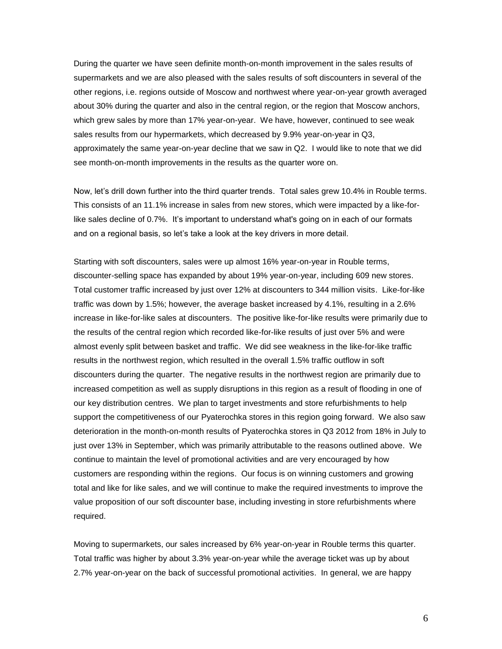During the quarter we have seen definite month-on-month improvement in the sales results of supermarkets and we are also pleased with the sales results of soft discounters in several of the other regions, i.e. regions outside of Moscow and northwest where year-on-year growth averaged about 30% during the quarter and also in the central region, or the region that Moscow anchors, which grew sales by more than 17% year-on-year. We have, however, continued to see weak sales results from our hypermarkets, which decreased by 9.9% year-on-year in Q3, approximately the same year-on-year decline that we saw in Q2. I would like to note that we did see month-on-month improvements in the results as the quarter wore on.

Now, let's drill down further into the third quarter trends. Total sales grew 10.4% in Rouble terms. This consists of an 11.1% increase in sales from new stores, which were impacted by a like-forlike sales decline of 0.7%. It's important to understand what's going on in each of our formats and on a regional basis, so let's take a look at the key drivers in more detail.

Starting with soft discounters, sales were up almost 16% year-on-year in Rouble terms, discounter-selling space has expanded by about 19% year-on-year, including 609 new stores. Total customer traffic increased by just over 12% at discounters to 344 million visits. Like-for-like traffic was down by 1.5%; however, the average basket increased by 4.1%, resulting in a 2.6% increase in like-for-like sales at discounters. The positive like-for-like results were primarily due to the results of the central region which recorded like-for-like results of just over 5% and were almost evenly split between basket and traffic. We did see weakness in the like-for-like traffic results in the northwest region, which resulted in the overall 1.5% traffic outflow in soft discounters during the quarter. The negative results in the northwest region are primarily due to increased competition as well as supply disruptions in this region as a result of flooding in one of our key distribution centres. We plan to target investments and store refurbishments to help support the competitiveness of our Pyaterochka stores in this region going forward. We also saw deterioration in the month-on-month results of Pyaterochka stores in Q3 2012 from 18% in July to just over 13% in September, which was primarily attributable to the reasons outlined above. We continue to maintain the level of promotional activities and are very encouraged by how customers are responding within the regions. Our focus is on winning customers and growing total and like for like sales, and we will continue to make the required investments to improve the value proposition of our soft discounter base, including investing in store refurbishments where required.

Moving to supermarkets, our sales increased by 6% year-on-year in Rouble terms this quarter. Total traffic was higher by about 3.3% year-on-year while the average ticket was up by about 2.7% year-on-year on the back of successful promotional activities. In general, we are happy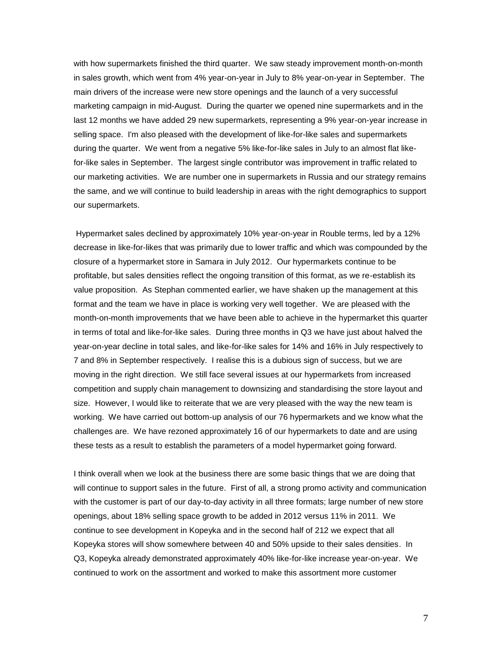with how supermarkets finished the third quarter. We saw steady improvement month-on-month in sales growth, which went from 4% year-on-year in July to 8% year-on-year in September. The main drivers of the increase were new store openings and the launch of a very successful marketing campaign in mid-August. During the quarter we opened nine supermarkets and in the last 12 months we have added 29 new supermarkets, representing a 9% year-on-year increase in selling space. I'm also pleased with the development of like-for-like sales and supermarkets during the quarter. We went from a negative 5% like-for-like sales in July to an almost flat likefor-like sales in September. The largest single contributor was improvement in traffic related to our marketing activities. We are number one in supermarkets in Russia and our strategy remains the same, and we will continue to build leadership in areas with the right demographics to support our supermarkets.

Hypermarket sales declined by approximately 10% year-on-year in Rouble terms, led by a 12% decrease in like-for-likes that was primarily due to lower traffic and which was compounded by the closure of a hypermarket store in Samara in July 2012. Our hypermarkets continue to be profitable, but sales densities reflect the ongoing transition of this format, as we re-establish its value proposition. As Stephan commented earlier, we have shaken up the management at this format and the team we have in place is working very well together. We are pleased with the month-on-month improvements that we have been able to achieve in the hypermarket this quarter in terms of total and like-for-like sales. During three months in Q3 we have just about halved the year-on-year decline in total sales, and like-for-like sales for 14% and 16% in July respectively to 7 and 8% in September respectively. I realise this is a dubious sign of success, but we are moving in the right direction. We still face several issues at our hypermarkets from increased competition and supply chain management to downsizing and standardising the store layout and size. However, I would like to reiterate that we are very pleased with the way the new team is working. We have carried out bottom-up analysis of our 76 hypermarkets and we know what the challenges are. We have rezoned approximately 16 of our hypermarkets to date and are using these tests as a result to establish the parameters of a model hypermarket going forward.

I think overall when we look at the business there are some basic things that we are doing that will continue to support sales in the future. First of all, a strong promo activity and communication with the customer is part of our day-to-day activity in all three formats; large number of new store openings, about 18% selling space growth to be added in 2012 versus 11% in 2011. We continue to see development in Kopeyka and in the second half of 212 we expect that all Kopeyka stores will show somewhere between 40 and 50% upside to their sales densities. In Q3, Kopeyka already demonstrated approximately 40% like-for-like increase year-on-year. We continued to work on the assortment and worked to make this assortment more customer

7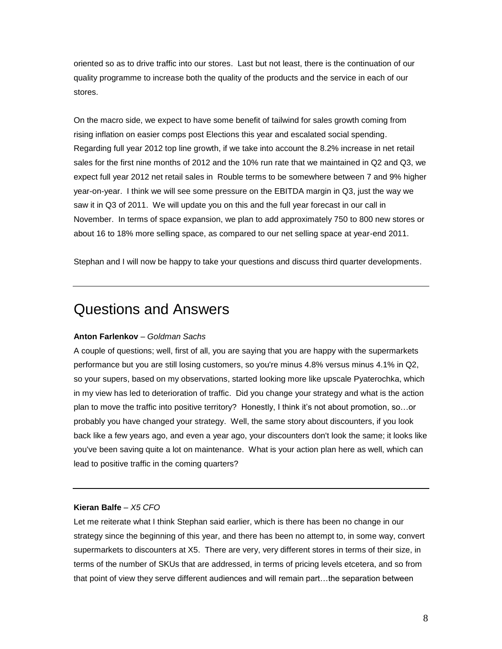oriented so as to drive traffic into our stores. Last but not least, there is the continuation of our quality programme to increase both the quality of the products and the service in each of our stores.

On the macro side, we expect to have some benefit of tailwind for sales growth coming from rising inflation on easier comps post Elections this year and escalated social spending. Regarding full year 2012 top line growth, if we take into account the 8.2% increase in net retail sales for the first nine months of 2012 and the 10% run rate that we maintained in Q2 and Q3, we expect full year 2012 net retail sales in Rouble terms to be somewhere between 7 and 9% higher year-on-year. I think we will see some pressure on the EBITDA margin in Q3, just the way we saw it in Q3 of 2011. We will update you on this and the full year forecast in our call in November. In terms of space expansion, we plan to add approximately 750 to 800 new stores or about 16 to 18% more selling space, as compared to our net selling space at year-end 2011.

Stephan and I will now be happy to take your questions and discuss third quarter developments.

# Questions and Answers

# **Anton Farlenkov** *– Goldman Sachs*

A couple of questions; well, first of all, you are saying that you are happy with the supermarkets performance but you are still losing customers, so you're minus 4.8% versus minus 4.1% in Q2, so your supers, based on my observations, started looking more like upscale Pyaterochka, which in my view has led to deterioration of traffic. Did you change your strategy and what is the action plan to move the traffic into positive territory? Honestly, I think it's not about promotion, so…or probably you have changed your strategy. Well, the same story about discounters, if you look back like a few years ago, and even a year ago, your discounters don't look the same; it looks like you've been saving quite a lot on maintenance. What is your action plan here as well, which can lead to positive traffic in the coming quarters?

# **Kieran Balfe** *– X5 CFO*

Let me reiterate what I think Stephan said earlier, which is there has been no change in our strategy since the beginning of this year, and there has been no attempt to, in some way, convert supermarkets to discounters at X5. There are very, very different stores in terms of their size, in terms of the number of SKUs that are addressed, in terms of pricing levels etcetera, and so from that point of view they serve different audiences and will remain part…the separation between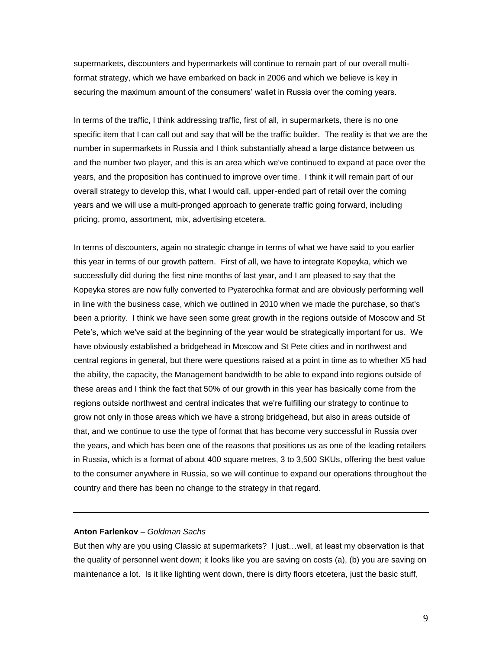supermarkets, discounters and hypermarkets will continue to remain part of our overall multiformat strategy, which we have embarked on back in 2006 and which we believe is key in securing the maximum amount of the consumers' wallet in Russia over the coming years.

In terms of the traffic, I think addressing traffic, first of all, in supermarkets, there is no one specific item that I can call out and say that will be the traffic builder. The reality is that we are the number in supermarkets in Russia and I think substantially ahead a large distance between us and the number two player, and this is an area which we've continued to expand at pace over the years, and the proposition has continued to improve over time. I think it will remain part of our overall strategy to develop this, what I would call, upper-ended part of retail over the coming years and we will use a multi-pronged approach to generate traffic going forward, including pricing, promo, assortment, mix, advertising etcetera.

In terms of discounters, again no strategic change in terms of what we have said to you earlier this year in terms of our growth pattern. First of all, we have to integrate Kopeyka, which we successfully did during the first nine months of last year, and I am pleased to say that the Kopeyka stores are now fully converted to Pyaterochka format and are obviously performing well in line with the business case, which we outlined in 2010 when we made the purchase, so that's been a priority. I think we have seen some great growth in the regions outside of Moscow and St Pete's, which we've said at the beginning of the year would be strategically important for us. We have obviously established a bridgehead in Moscow and St Pete cities and in northwest and central regions in general, but there were questions raised at a point in time as to whether X5 had the ability, the capacity, the Management bandwidth to be able to expand into regions outside of these areas and I think the fact that 50% of our growth in this year has basically come from the regions outside northwest and central indicates that we're fulfilling our strategy to continue to grow not only in those areas which we have a strong bridgehead, but also in areas outside of that, and we continue to use the type of format that has become very successful in Russia over the years, and which has been one of the reasons that positions us as one of the leading retailers in Russia, which is a format of about 400 square metres, 3 to 3,500 SKUs, offering the best value to the consumer anywhere in Russia, so we will continue to expand our operations throughout the country and there has been no change to the strategy in that regard.

# **Anton Farlenkov** *– Goldman Sachs*

But then why are you using Classic at supermarkets? I just…well, at least my observation is that the quality of personnel went down; it looks like you are saving on costs (a), (b) you are saving on maintenance a lot. Is it like lighting went down, there is dirty floors etcetera, just the basic stuff,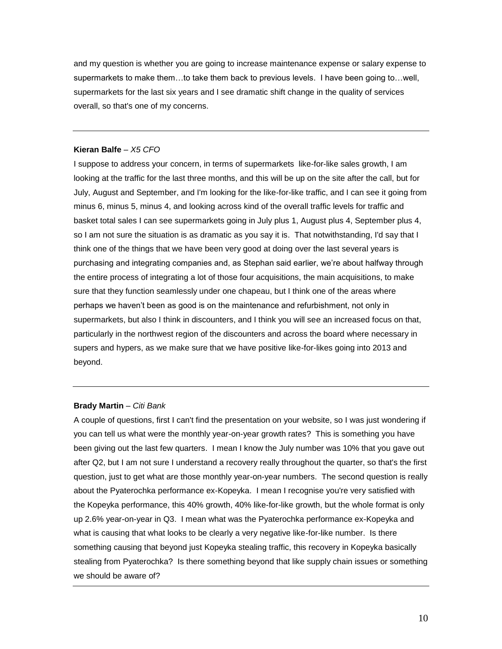and my question is whether you are going to increase maintenance expense or salary expense to supermarkets to make them…to take them back to previous levels. I have been going to…well, supermarkets for the last six years and I see dramatic shift change in the quality of services overall, so that's one of my concerns.

## **Kieran Balfe** *– X5 CFO*

I suppose to address your concern, in terms of supermarkets like-for-like sales growth, I am looking at the traffic for the last three months, and this will be up on the site after the call, but for July, August and September, and I'm looking for the like-for-like traffic, and I can see it going from minus 6, minus 5, minus 4, and looking across kind of the overall traffic levels for traffic and basket total sales I can see supermarkets going in July plus 1, August plus 4, September plus 4, so I am not sure the situation is as dramatic as you say it is. That notwithstanding, I'd say that I think one of the things that we have been very good at doing over the last several years is purchasing and integrating companies and, as Stephan said earlier, we're about halfway through the entire process of integrating a lot of those four acquisitions, the main acquisitions, to make sure that they function seamlessly under one chapeau, but I think one of the areas where perhaps we haven't been as good is on the maintenance and refurbishment, not only in supermarkets, but also I think in discounters, and I think you will see an increased focus on that, particularly in the northwest region of the discounters and across the board where necessary in supers and hypers, as we make sure that we have positive like-for-likes going into 2013 and beyond.

# **Brady Martin** *– Citi Bank*

A couple of questions, first I can't find the presentation on your website, so I was just wondering if you can tell us what were the monthly year-on-year growth rates? This is something you have been giving out the last few quarters. I mean I know the July number was 10% that you gave out after Q2, but I am not sure I understand a recovery really throughout the quarter, so that's the first question, just to get what are those monthly year-on-year numbers. The second question is really about the Pyaterochka performance ex-Kopeyka. I mean I recognise you're very satisfied with the Kopeyka performance, this 40% growth, 40% like-for-like growth, but the whole format is only up 2.6% year-on-year in Q3. I mean what was the Pyaterochka performance ex-Kopeyka and what is causing that what looks to be clearly a very negative like-for-like number. Is there something causing that beyond just Kopeyka stealing traffic, this recovery in Kopeyka basically stealing from Pyaterochka? Is there something beyond that like supply chain issues or something we should be aware of?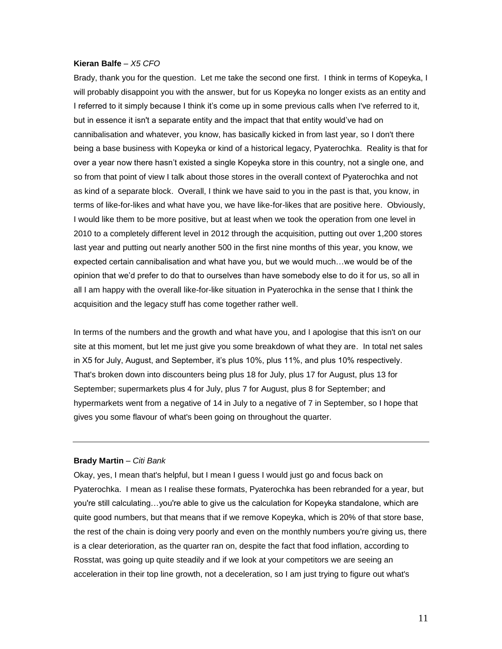Brady, thank you for the question. Let me take the second one first. I think in terms of Kopeyka, I will probably disappoint you with the answer, but for us Kopeyka no longer exists as an entity and I referred to it simply because I think it's come up in some previous calls when I've referred to it, but in essence it isn't a separate entity and the impact that that entity would've had on cannibalisation and whatever, you know, has basically kicked in from last year, so I don't there being a base business with Kopeyka or kind of a historical legacy, Pyaterochka. Reality is that for over a year now there hasn't existed a single Kopeyka store in this country, not a single one, and so from that point of view I talk about those stores in the overall context of Pyaterochka and not as kind of a separate block. Overall, I think we have said to you in the past is that, you know, in terms of like-for-likes and what have you, we have like-for-likes that are positive here. Obviously, I would like them to be more positive, but at least when we took the operation from one level in 2010 to a completely different level in 2012 through the acquisition, putting out over 1,200 stores last year and putting out nearly another 500 in the first nine months of this year, you know, we expected certain cannibalisation and what have you, but we would much…we would be of the opinion that we'd prefer to do that to ourselves than have somebody else to do it for us, so all in all I am happy with the overall like-for-like situation in Pyaterochka in the sense that I think the acquisition and the legacy stuff has come together rather well.

In terms of the numbers and the growth and what have you, and I apologise that this isn't on our site at this moment, but let me just give you some breakdown of what they are. In total net sales in X5 for July, August, and September, it's plus 10%, plus 11%, and plus 10% respectively. That's broken down into discounters being plus 18 for July, plus 17 for August, plus 13 for September; supermarkets plus 4 for July, plus 7 for August, plus 8 for September; and hypermarkets went from a negative of 14 in July to a negative of 7 in September, so I hope that gives you some flavour of what's been going on throughout the quarter.

#### **Brady Martin** – *Citi Bank*

Okay, yes, I mean that's helpful, but I mean I guess I would just go and focus back on Pyaterochka. I mean as I realise these formats, Pyaterochka has been rebranded for a year, but you're still calculating…you're able to give us the calculation for Kopeyka standalone, which are quite good numbers, but that means that if we remove Kopeyka, which is 20% of that store base, the rest of the chain is doing very poorly and even on the monthly numbers you're giving us, there is a clear deterioration, as the quarter ran on, despite the fact that food inflation, according to Rosstat, was going up quite steadily and if we look at your competitors we are seeing an acceleration in their top line growth, not a deceleration, so I am just trying to figure out what's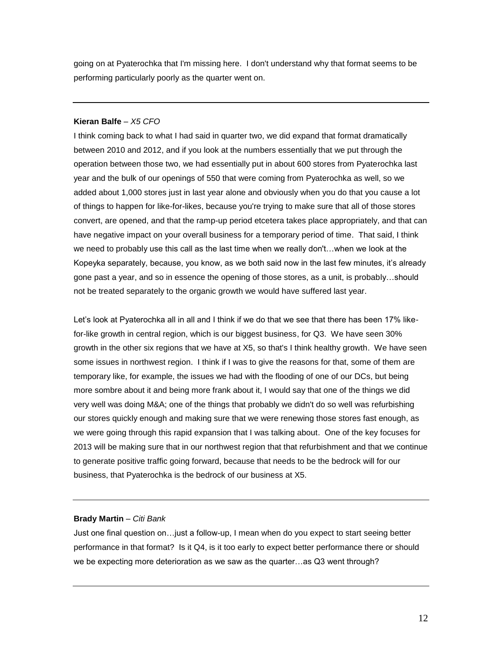going on at Pyaterochka that I'm missing here. I don't understand why that format seems to be performing particularly poorly as the quarter went on.

# **Kieran Balfe** *– X5 CFO*

I think coming back to what I had said in quarter two, we did expand that format dramatically between 2010 and 2012, and if you look at the numbers essentially that we put through the operation between those two, we had essentially put in about 600 stores from Pyaterochka last year and the bulk of our openings of 550 that were coming from Pyaterochka as well, so we added about 1,000 stores just in last year alone and obviously when you do that you cause a lot of things to happen for like-for-likes, because you're trying to make sure that all of those stores convert, are opened, and that the ramp-up period etcetera takes place appropriately, and that can have negative impact on your overall business for a temporary period of time. That said, I think we need to probably use this call as the last time when we really don't…when we look at the Kopeyka separately, because, you know, as we both said now in the last few minutes, it's already gone past a year, and so in essence the opening of those stores, as a unit, is probably…should not be treated separately to the organic growth we would have suffered last year.

Let's look at Pyaterochka all in all and I think if we do that we see that there has been 17% likefor-like growth in central region, which is our biggest business, for Q3. We have seen 30% growth in the other six regions that we have at X5, so that's I think healthy growth. We have seen some issues in northwest region. I think if I was to give the reasons for that, some of them are temporary like, for example, the issues we had with the flooding of one of our DCs, but being more sombre about it and being more frank about it, I would say that one of the things we did very well was doing M&A; one of the things that probably we didn't do so well was refurbishing our stores quickly enough and making sure that we were renewing those stores fast enough, as we were going through this rapid expansion that I was talking about. One of the key focuses for 2013 will be making sure that in our northwest region that that refurbishment and that we continue to generate positive traffic going forward, because that needs to be the bedrock will for our business, that Pyaterochka is the bedrock of our business at X5.

# **Brady Martin** – *Citi Bank*

Just one final question on…just a follow-up, I mean when do you expect to start seeing better performance in that format? Is it Q4, is it too early to expect better performance there or should we be expecting more deterioration as we saw as the quarter…as Q3 went through?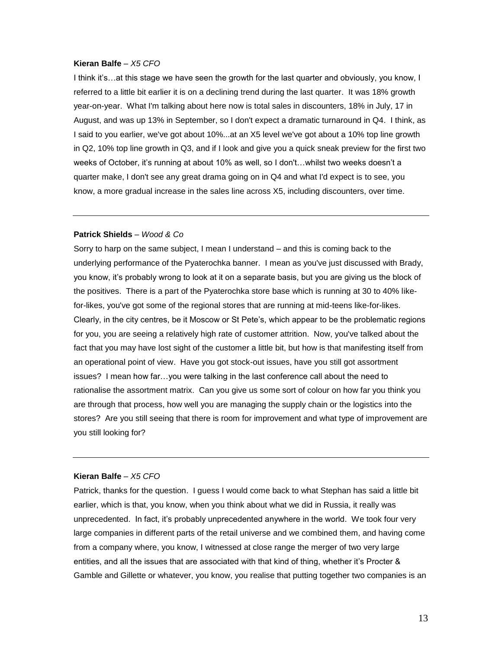I think it's…at this stage we have seen the growth for the last quarter and obviously, you know, I referred to a little bit earlier it is on a declining trend during the last quarter. It was 18% growth year-on-year. What I'm talking about here now is total sales in discounters, 18% in July, 17 in August, and was up 13% in September, so I don't expect a dramatic turnaround in Q4. I think, as I said to you earlier, we've got about 10%...at an X5 level we've got about a 10% top line growth in Q2, 10% top line growth in Q3, and if I look and give you a quick sneak preview for the first two weeks of October, it's running at about 10% as well, so I don't…whilst two weeks doesn't a quarter make, I don't see any great drama going on in Q4 and what I'd expect is to see, you know, a more gradual increase in the sales line across X5, including discounters, over time.

# **Patrick Shields** *– Wood & Co*

Sorry to harp on the same subject, I mean I understand – and this is coming back to the underlying performance of the Pyaterochka banner. I mean as you've just discussed with Brady, you know, it's probably wrong to look at it on a separate basis, but you are giving us the block of the positives. There is a part of the Pyaterochka store base which is running at 30 to 40% likefor-likes, you've got some of the regional stores that are running at mid-teens like-for-likes. Clearly, in the city centres, be it Moscow or St Pete's, which appear to be the problematic regions for you, you are seeing a relatively high rate of customer attrition. Now, you've talked about the fact that you may have lost sight of the customer a little bit, but how is that manifesting itself from an operational point of view. Have you got stock-out issues, have you still got assortment issues? I mean how far…you were talking in the last conference call about the need to rationalise the assortment matrix. Can you give us some sort of colour on how far you think you are through that process, how well you are managing the supply chain or the logistics into the stores? Are you still seeing that there is room for improvement and what type of improvement are you still looking for?

# **Kieran Balfe** *– X5 CFO*

Patrick, thanks for the question. I guess I would come back to what Stephan has said a little bit earlier, which is that, you know, when you think about what we did in Russia, it really was unprecedented. In fact, it's probably unprecedented anywhere in the world. We took four very large companies in different parts of the retail universe and we combined them, and having come from a company where, you know, I witnessed at close range the merger of two very large entities, and all the issues that are associated with that kind of thing, whether it's Procter & Gamble and Gillette or whatever, you know, you realise that putting together two companies is an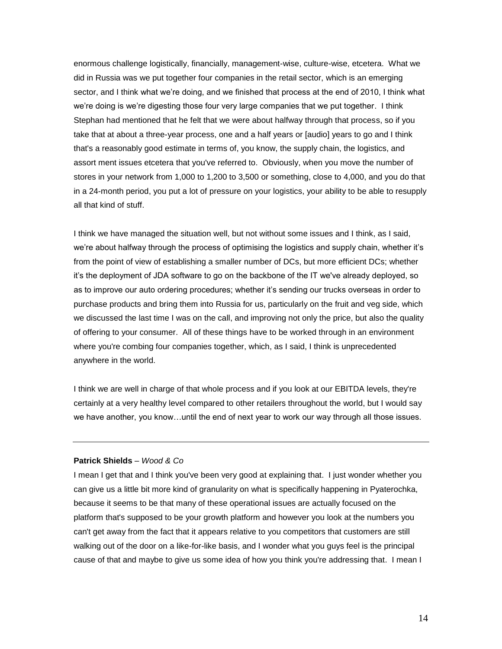enormous challenge logistically, financially, management-wise, culture-wise, etcetera. What we did in Russia was we put together four companies in the retail sector, which is an emerging sector, and I think what we're doing, and we finished that process at the end of 2010, I think what we're doing is we're digesting those four very large companies that we put together. I think Stephan had mentioned that he felt that we were about halfway through that process, so if you take that at about a three-year process, one and a half years or [audio] years to go and I think that's a reasonably good estimate in terms of, you know, the supply chain, the logistics, and assort ment issues etcetera that you've referred to. Obviously, when you move the number of stores in your network from 1,000 to 1,200 to 3,500 or something, close to 4,000, and you do that in a 24-month period, you put a lot of pressure on your logistics, your ability to be able to resupply all that kind of stuff.

I think we have managed the situation well, but not without some issues and I think, as I said, we're about halfway through the process of optimising the logistics and supply chain, whether it's from the point of view of establishing a smaller number of DCs, but more efficient DCs; whether it's the deployment of JDA software to go on the backbone of the IT we've already deployed, so as to improve our auto ordering procedures; whether it's sending our trucks overseas in order to purchase products and bring them into Russia for us, particularly on the fruit and veg side, which we discussed the last time I was on the call, and improving not only the price, but also the quality of offering to your consumer. All of these things have to be worked through in an environment where you're combing four companies together, which, as I said, I think is unprecedented anywhere in the world.

I think we are well in charge of that whole process and if you look at our EBITDA levels, they're certainly at a very healthy level compared to other retailers throughout the world, but I would say we have another, you know…until the end of next year to work our way through all those issues.

## **Patrick Shields** *– Wood & Co*

I mean I get that and I think you've been very good at explaining that. I just wonder whether you can give us a little bit more kind of granularity on what is specifically happening in Pyaterochka, because it seems to be that many of these operational issues are actually focused on the platform that's supposed to be your growth platform and however you look at the numbers you can't get away from the fact that it appears relative to you competitors that customers are still walking out of the door on a like-for-like basis, and I wonder what you guys feel is the principal cause of that and maybe to give us some idea of how you think you're addressing that. I mean I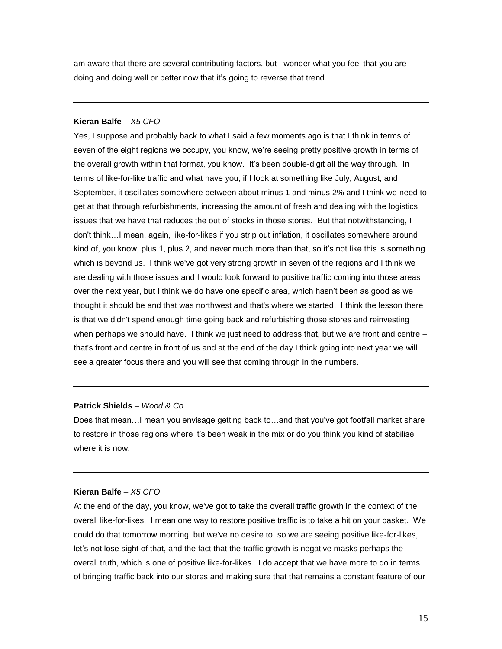am aware that there are several contributing factors, but I wonder what you feel that you are doing and doing well or better now that it's going to reverse that trend.

# **Kieran Balfe** *– X5 CFO*

Yes, I suppose and probably back to what I said a few moments ago is that I think in terms of seven of the eight regions we occupy, you know, we're seeing pretty positive growth in terms of the overall growth within that format, you know. It's been double-digit all the way through. In terms of like-for-like traffic and what have you, if I look at something like July, August, and September, it oscillates somewhere between about minus 1 and minus 2% and I think we need to get at that through refurbishments, increasing the amount of fresh and dealing with the logistics issues that we have that reduces the out of stocks in those stores. But that notwithstanding, I don't think…I mean, again, like-for-likes if you strip out inflation, it oscillates somewhere around kind of, you know, plus 1, plus 2, and never much more than that, so it's not like this is something which is beyond us. I think we've got very strong growth in seven of the regions and I think we are dealing with those issues and I would look forward to positive traffic coming into those areas over the next year, but I think we do have one specific area, which hasn't been as good as we thought it should be and that was northwest and that's where we started. I think the lesson there is that we didn't spend enough time going back and refurbishing those stores and reinvesting when perhaps we should have. I think we just need to address that, but we are front and centre that's front and centre in front of us and at the end of the day I think going into next year we will see a greater focus there and you will see that coming through in the numbers.

# **Patrick Shields** *– Wood & Co*

Does that mean…I mean you envisage getting back to…and that you've got footfall market share to restore in those regions where it's been weak in the mix or do you think you kind of stabilise where it is now.

# **Kieran Balfe** *– X5 CFO*

At the end of the day, you know, we've got to take the overall traffic growth in the context of the overall like-for-likes. I mean one way to restore positive traffic is to take a hit on your basket. We could do that tomorrow morning, but we've no desire to, so we are seeing positive like-for-likes, let's not lose sight of that, and the fact that the traffic growth is negative masks perhaps the overall truth, which is one of positive like-for-likes. I do accept that we have more to do in terms of bringing traffic back into our stores and making sure that that remains a constant feature of our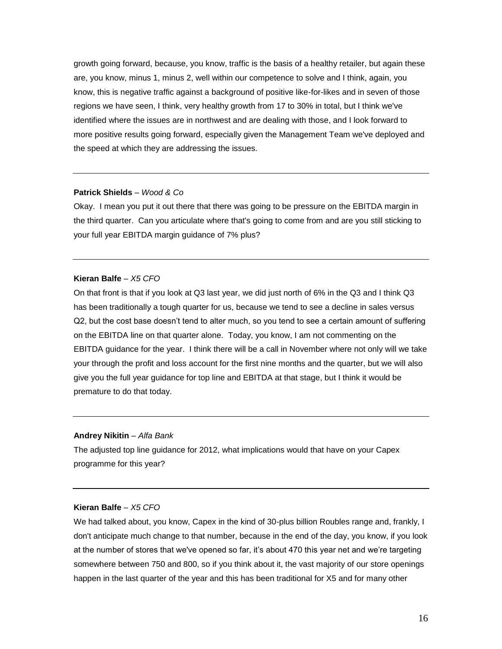growth going forward, because, you know, traffic is the basis of a healthy retailer, but again these are, you know, minus 1, minus 2, well within our competence to solve and I think, again, you know, this is negative traffic against a background of positive like-for-likes and in seven of those regions we have seen, I think, very healthy growth from 17 to 30% in total, but I think we've identified where the issues are in northwest and are dealing with those, and I look forward to more positive results going forward, especially given the Management Team we've deployed and the speed at which they are addressing the issues.

#### **Patrick Shields** *– Wood & Co*

Okay. I mean you put it out there that there was going to be pressure on the EBITDA margin in the third quarter. Can you articulate where that's going to come from and are you still sticking to your full year EBITDA margin guidance of 7% plus?

## **Kieran Balfe** *– X5 CFO*

On that front is that if you look at Q3 last year, we did just north of 6% in the Q3 and I think Q3 has been traditionally a tough quarter for us, because we tend to see a decline in sales versus Q2, but the cost base doesn't tend to alter much, so you tend to see a certain amount of suffering on the EBITDA line on that quarter alone. Today, you know, I am not commenting on the EBITDA guidance for the year. I think there will be a call in November where not only will we take your through the profit and loss account for the first nine months and the quarter, but we will also give you the full year guidance for top line and EBITDA at that stage, but I think it would be premature to do that today.

#### **Andrey Nikitin** *– Alfa Bank*

The adjusted top line guidance for 2012, what implications would that have on your Capex programme for this year?

# **Kieran Balfe** *– X5 CFO*

We had talked about, you know, Capex in the kind of 30-plus billion Roubles range and, frankly, I don't anticipate much change to that number, because in the end of the day, you know, if you look at the number of stores that we've opened so far, it's about 470 this year net and we're targeting somewhere between 750 and 800, so if you think about it, the vast majority of our store openings happen in the last quarter of the year and this has been traditional for X5 and for many other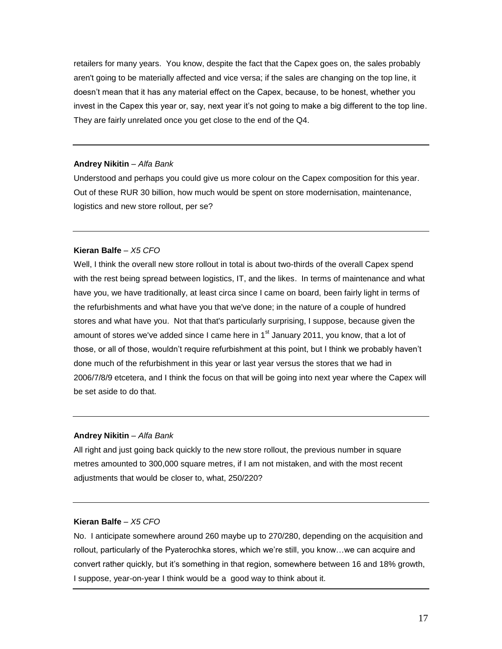retailers for many years. You know, despite the fact that the Capex goes on, the sales probably aren't going to be materially affected and vice versa; if the sales are changing on the top line, it doesn't mean that it has any material effect on the Capex, because, to be honest, whether you invest in the Capex this year or, say, next year it's not going to make a big different to the top line. They are fairly unrelated once you get close to the end of the Q4.

# **Andrey Nikitin** *– Alfa Bank*

Understood and perhaps you could give us more colour on the Capex composition for this year. Out of these RUR 30 billion, how much would be spent on store modernisation, maintenance, logistics and new store rollout, per se?

## **Kieran Balfe** *– X5 CFO*

Well, I think the overall new store rollout in total is about two-thirds of the overall Capex spend with the rest being spread between logistics, IT, and the likes. In terms of maintenance and what have you, we have traditionally, at least circa since I came on board, been fairly light in terms of the refurbishments and what have you that we've done; in the nature of a couple of hundred stores and what have you. Not that that's particularly surprising, I suppose, because given the amount of stores we've added since I came here in  $1<sup>st</sup>$  January 2011, you know, that a lot of those, or all of those, wouldn't require refurbishment at this point, but I think we probably haven't done much of the refurbishment in this year or last year versus the stores that we had in 2006/7/8/9 etcetera, and I think the focus on that will be going into next year where the Capex will be set aside to do that.

# **Andrey Nikitin** *– Alfa Bank*

All right and just going back quickly to the new store rollout, the previous number in square metres amounted to 300,000 square metres, if I am not mistaken, and with the most recent adjustments that would be closer to, what, 250/220?

## **Kieran Balfe** *– X5 CFO*

No. I anticipate somewhere around 260 maybe up to 270/280, depending on the acquisition and rollout, particularly of the Pyaterochka stores, which we're still, you know…we can acquire and convert rather quickly, but it's something in that region, somewhere between 16 and 18% growth, I suppose, year-on-year I think would be a good way to think about it.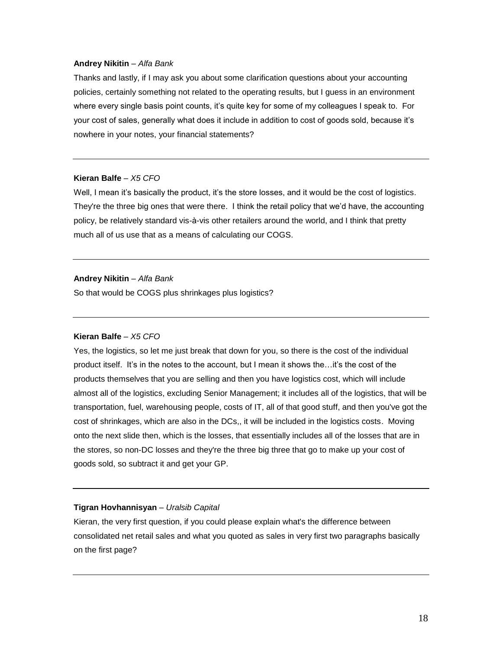# **Andrey Nikitin** *– Alfa Bank*

Thanks and lastly, if I may ask you about some clarification questions about your accounting policies, certainly something not related to the operating results, but I guess in an environment where every single basis point counts, it's quite key for some of my colleagues I speak to. For your cost of sales, generally what does it include in addition to cost of goods sold, because it's nowhere in your notes, your financial statements?

# **Kieran Balfe** *– X5 CFO*

Well, I mean it's basically the product, it's the store losses, and it would be the cost of logistics. They're the three big ones that were there. I think the retail policy that we'd have, the accounting policy, be relatively standard vis-à-vis other retailers around the world, and I think that pretty much all of us use that as a means of calculating our COGS.

## **Andrey Nikitin** *– Alfa Bank*

So that would be COGS plus shrinkages plus logistics?

# **Kieran Balfe** *– X5 CFO*

Yes, the logistics, so let me just break that down for you, so there is the cost of the individual product itself. It's in the notes to the account, but I mean it shows the…it's the cost of the products themselves that you are selling and then you have logistics cost, which will include almost all of the logistics, excluding Senior Management; it includes all of the logistics, that will be transportation, fuel, warehousing people, costs of IT, all of that good stuff, and then you've got the cost of shrinkages, which are also in the DCs,, it will be included in the logistics costs. Moving onto the next slide then, which is the losses, that essentially includes all of the losses that are in the stores, so non-DC losses and they're the three big three that go to make up your cost of goods sold, so subtract it and get your GP.

#### **Tigran Hovhannisyan** *– Uralsib Capital*

Kieran, the very first question, if you could please explain what's the difference between consolidated net retail sales and what you quoted as sales in very first two paragraphs basically on the first page?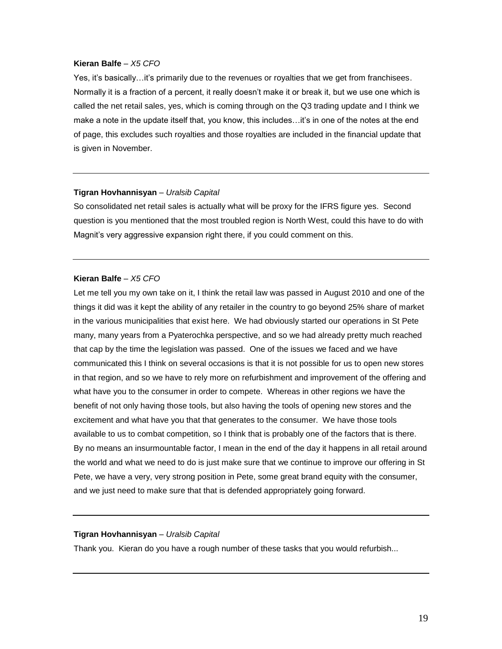Yes, it's basically…it's primarily due to the revenues or royalties that we get from franchisees. Normally it is a fraction of a percent, it really doesn't make it or break it, but we use one which is called the net retail sales, yes, which is coming through on the Q3 trading update and I think we make a note in the update itself that, you know, this includes…it's in one of the notes at the end of page, this excludes such royalties and those royalties are included in the financial update that is given in November.

## **Tigran Hovhannisyan** – *Uralsib Capital*

So consolidated net retail sales is actually what will be proxy for the IFRS figure yes. Second question is you mentioned that the most troubled region is North West, could this have to do with Magnit's very aggressive expansion right there, if you could comment on this.

## **Kieran Balfe** *– X5 CFO*

Let me tell you my own take on it, I think the retail law was passed in August 2010 and one of the things it did was it kept the ability of any retailer in the country to go beyond 25% share of market in the various municipalities that exist here. We had obviously started our operations in St Pete many, many years from a Pyaterochka perspective, and so we had already pretty much reached that cap by the time the legislation was passed. One of the issues we faced and we have communicated this I think on several occasions is that it is not possible for us to open new stores in that region, and so we have to rely more on refurbishment and improvement of the offering and what have you to the consumer in order to compete. Whereas in other regions we have the benefit of not only having those tools, but also having the tools of opening new stores and the excitement and what have you that that generates to the consumer. We have those tools available to us to combat competition, so I think that is probably one of the factors that is there. By no means an insurmountable factor, I mean in the end of the day it happens in all retail around the world and what we need to do is just make sure that we continue to improve our offering in St Pete, we have a very, very strong position in Pete, some great brand equity with the consumer, and we just need to make sure that that is defended appropriately going forward.

#### **Tigran Hovhannisyan** *– Uralsib Capital*

Thank you. Kieran do you have a rough number of these tasks that you would refurbish...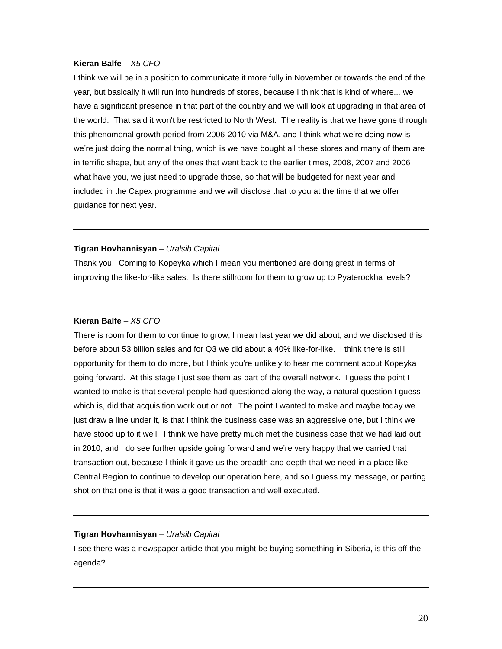I think we will be in a position to communicate it more fully in November or towards the end of the year, but basically it will run into hundreds of stores, because I think that is kind of where... we have a significant presence in that part of the country and we will look at upgrading in that area of the world. That said it won't be restricted to North West. The reality is that we have gone through this phenomenal growth period from 2006-2010 via M&A, and I think what we're doing now is we're just doing the normal thing, which is we have bought all these stores and many of them are in terrific shape, but any of the ones that went back to the earlier times, 2008, 2007 and 2006 what have you, we just need to upgrade those, so that will be budgeted for next year and included in the Capex programme and we will disclose that to you at the time that we offer guidance for next year.

## **Tigran Hovhannisyan** *– Uralsib Capital*

Thank you. Coming to Kopeyka which I mean you mentioned are doing great in terms of improving the like-for-like sales. Is there stillroom for them to grow up to Pyaterockha levels?

# **Kieran Balfe** *– X5 CFO*

There is room for them to continue to grow, I mean last year we did about, and we disclosed this before about 53 billion sales and for Q3 we did about a 40% like-for-like. I think there is still opportunity for them to do more, but I think you're unlikely to hear me comment about Kopeyka going forward. At this stage I just see them as part of the overall network. I guess the point I wanted to make is that several people had questioned along the way, a natural question I guess which is, did that acquisition work out or not. The point I wanted to make and maybe today we just draw a line under it, is that I think the business case was an aggressive one, but I think we have stood up to it well. I think we have pretty much met the business case that we had laid out in 2010, and I do see further upside going forward and we're very happy that we carried that transaction out, because I think it gave us the breadth and depth that we need in a place like Central Region to continue to develop our operation here, and so I guess my message, or parting shot on that one is that it was a good transaction and well executed.

# **Tigran Hovhannisyan** *– Uralsib Capital*

I see there was a newspaper article that you might be buying something in Siberia, is this off the agenda?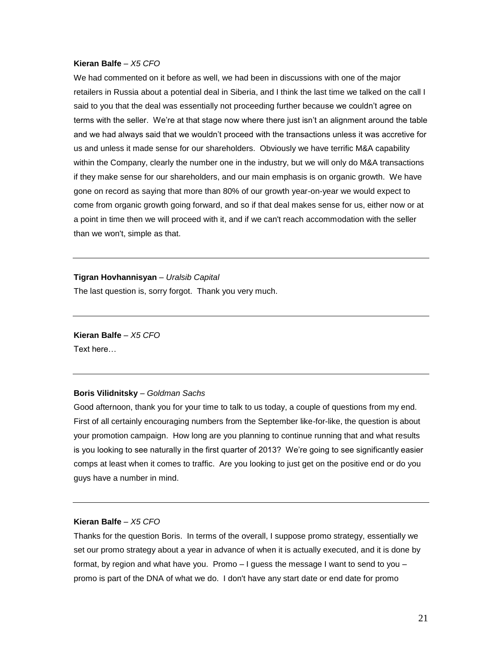We had commented on it before as well, we had been in discussions with one of the major retailers in Russia about a potential deal in Siberia, and I think the last time we talked on the call I said to you that the deal was essentially not proceeding further because we couldn't agree on terms with the seller. We're at that stage now where there just isn't an alignment around the table and we had always said that we wouldn't proceed with the transactions unless it was accretive for us and unless it made sense for our shareholders. Obviously we have terrific M&A capability within the Company, clearly the number one in the industry, but we will only do M&A transactions if they make sense for our shareholders, and our main emphasis is on organic growth. We have gone on record as saying that more than 80% of our growth year-on-year we would expect to come from organic growth going forward, and so if that deal makes sense for us, either now or at a point in time then we will proceed with it, and if we can't reach accommodation with the seller than we won't, simple as that.

**Tigran Hovhannisyan** *– Uralsib Capital* The last question is, sorry forgot. Thank you very much.

**Kieran Balfe** *– X5 CFO* Text here…

# **Boris Vilidnitsky** – *Goldman Sachs*

Good afternoon, thank you for your time to talk to us today, a couple of questions from my end. First of all certainly encouraging numbers from the September like-for-like, the question is about your promotion campaign. How long are you planning to continue running that and what results is you looking to see naturally in the first quarter of 2013? We're going to see significantly easier comps at least when it comes to traffic. Are you looking to just get on the positive end or do you guys have a number in mind.

## **Kieran Balfe** *– X5 CFO*

Thanks for the question Boris. In terms of the overall, I suppose promo strategy, essentially we set our promo strategy about a year in advance of when it is actually executed, and it is done by format, by region and what have you. Promo – I guess the message I want to send to you – promo is part of the DNA of what we do. I don't have any start date or end date for promo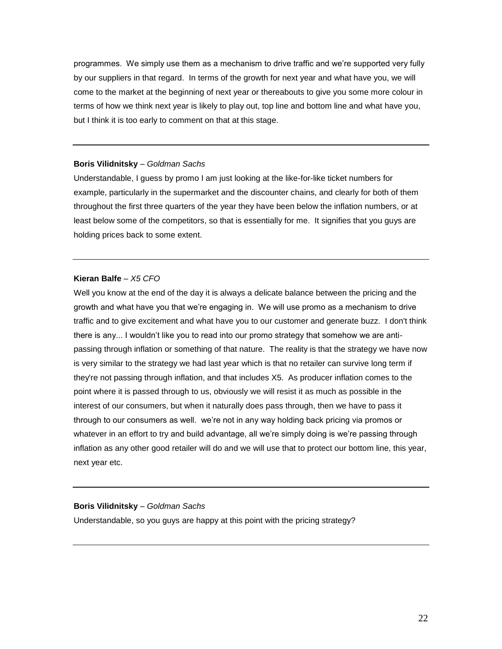programmes. We simply use them as a mechanism to drive traffic and we're supported very fully by our suppliers in that regard. In terms of the growth for next year and what have you, we will come to the market at the beginning of next year or thereabouts to give you some more colour in terms of how we think next year is likely to play out, top line and bottom line and what have you, but I think it is too early to comment on that at this stage.

# **Boris Vilidnitsky** – *Goldman Sachs*

Understandable, I guess by promo I am just looking at the like-for-like ticket numbers for example, particularly in the supermarket and the discounter chains, and clearly for both of them throughout the first three quarters of the year they have been below the inflation numbers, or at least below some of the competitors, so that is essentially for me. It signifies that you guys are holding prices back to some extent.

## **Kieran Balfe** *– X5 CFO*

Well you know at the end of the day it is always a delicate balance between the pricing and the growth and what have you that we're engaging in. We will use promo as a mechanism to drive traffic and to give excitement and what have you to our customer and generate buzz. I don't think there is any... I wouldn't like you to read into our promo strategy that somehow we are antipassing through inflation or something of that nature. The reality is that the strategy we have now is very similar to the strategy we had last year which is that no retailer can survive long term if they're not passing through inflation, and that includes X5. As producer inflation comes to the point where it is passed through to us, obviously we will resist it as much as possible in the interest of our consumers, but when it naturally does pass through, then we have to pass it through to our consumers as well. we're not in any way holding back pricing via promos or whatever in an effort to try and build advantage, all we're simply doing is we're passing through inflation as any other good retailer will do and we will use that to protect our bottom line, this year, next year etc.

#### **Boris Vilidnitsky** – *Goldman Sachs*

Understandable, so you guys are happy at this point with the pricing strategy?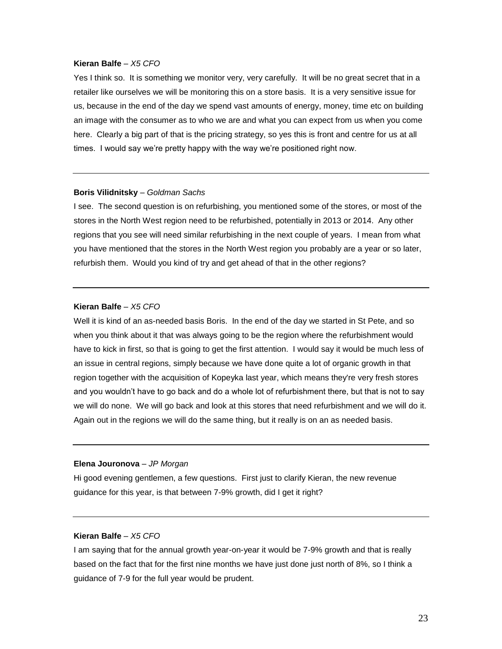Yes I think so. It is something we monitor very, very carefully. It will be no great secret that in a retailer like ourselves we will be monitoring this on a store basis. It is a very sensitive issue for us, because in the end of the day we spend vast amounts of energy, money, time etc on building an image with the consumer as to who we are and what you can expect from us when you come here. Clearly a big part of that is the pricing strategy, so yes this is front and centre for us at all times. I would say we're pretty happy with the way we're positioned right now.

#### **Boris Vilidnitsky** – *Goldman Sachs*

I see. The second question is on refurbishing, you mentioned some of the stores, or most of the stores in the North West region need to be refurbished, potentially in 2013 or 2014. Any other regions that you see will need similar refurbishing in the next couple of years. I mean from what you have mentioned that the stores in the North West region you probably are a year or so later, refurbish them. Would you kind of try and get ahead of that in the other regions?

# **Kieran Balfe** *– X5 CFO*

Well it is kind of an as-needed basis Boris. In the end of the day we started in St Pete, and so when you think about it that was always going to be the region where the refurbishment would have to kick in first, so that is going to get the first attention. I would say it would be much less of an issue in central regions, simply because we have done quite a lot of organic growth in that region together with the acquisition of Kopeyka last year, which means they're very fresh stores and you wouldn't have to go back and do a whole lot of refurbishment there, but that is not to say we will do none. We will go back and look at this stores that need refurbishment and we will do it. Again out in the regions we will do the same thing, but it really is on an as needed basis.

# **Elena Jouronova** – *JP Morgan*

Hi good evening gentlemen, a few questions. First just to clarify Kieran, the new revenue guidance for this year, is that between 7-9% growth, did I get it right?

# **Kieran Balfe** *– X5 CFO*

I am saying that for the annual growth year-on-year it would be 7-9% growth and that is really based on the fact that for the first nine months we have just done just north of 8%, so I think a guidance of 7-9 for the full year would be prudent.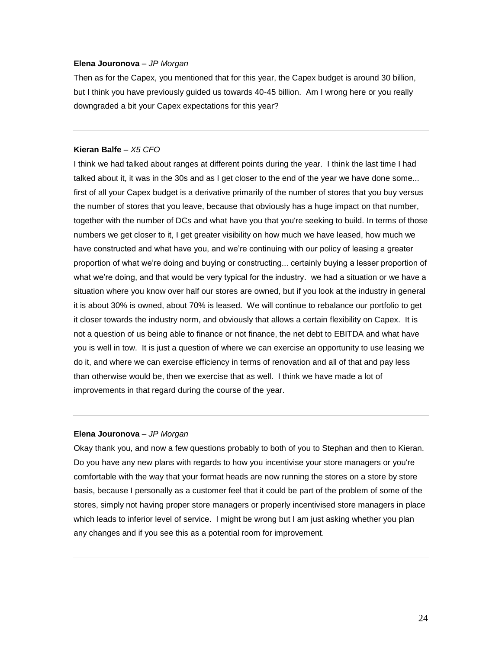# **Elena Jouronova** – *JP Morgan*

Then as for the Capex, you mentioned that for this year, the Capex budget is around 30 billion, but I think you have previously guided us towards 40-45 billion. Am I wrong here or you really downgraded a bit your Capex expectations for this year?

## **Kieran Balfe** *– X5 CFO*

I think we had talked about ranges at different points during the year. I think the last time I had talked about it, it was in the 30s and as I get closer to the end of the year we have done some... first of all your Capex budget is a derivative primarily of the number of stores that you buy versus the number of stores that you leave, because that obviously has a huge impact on that number, together with the number of DCs and what have you that you're seeking to build. In terms of those numbers we get closer to it, I get greater visibility on how much we have leased, how much we have constructed and what have you, and we're continuing with our policy of leasing a greater proportion of what we're doing and buying or constructing... certainly buying a lesser proportion of what we're doing, and that would be very typical for the industry. we had a situation or we have a situation where you know over half our stores are owned, but if you look at the industry in general it is about 30% is owned, about 70% is leased. We will continue to rebalance our portfolio to get it closer towards the industry norm, and obviously that allows a certain flexibility on Capex. It is not a question of us being able to finance or not finance, the net debt to EBITDA and what have you is well in tow. It is just a question of where we can exercise an opportunity to use leasing we do it, and where we can exercise efficiency in terms of renovation and all of that and pay less than otherwise would be, then we exercise that as well. I think we have made a lot of improvements in that regard during the course of the year.

# **Elena Jouronova** – *JP Morgan*

Okay thank you, and now a few questions probably to both of you to Stephan and then to Kieran. Do you have any new plans with regards to how you incentivise your store managers or you're comfortable with the way that your format heads are now running the stores on a store by store basis, because I personally as a customer feel that it could be part of the problem of some of the stores, simply not having proper store managers or properly incentivised store managers in place which leads to inferior level of service. I might be wrong but I am just asking whether you plan any changes and if you see this as a potential room for improvement.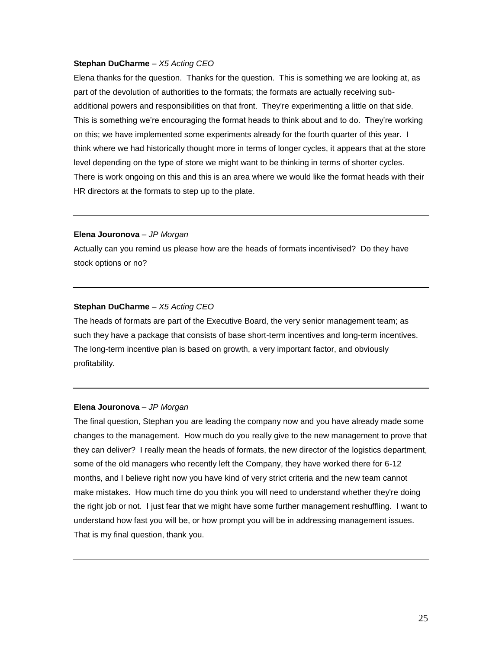## **Stephan DuCharme** – *X5 Acting CEO*

Elena thanks for the question. Thanks for the question. This is something we are looking at, as part of the devolution of authorities to the formats; the formats are actually receiving subadditional powers and responsibilities on that front. They're experimenting a little on that side. This is something we're encouraging the format heads to think about and to do. They're working on this; we have implemented some experiments already for the fourth quarter of this year. I think where we had historically thought more in terms of longer cycles, it appears that at the store level depending on the type of store we might want to be thinking in terms of shorter cycles. There is work ongoing on this and this is an area where we would like the format heads with their HR directors at the formats to step up to the plate.

# **Elena Jouronova** – *JP Morgan*

Actually can you remind us please how are the heads of formats incentivised? Do they have stock options or no?

# **Stephan DuCharme** – *X5 Acting CEO*

The heads of formats are part of the Executive Board, the very senior management team; as such they have a package that consists of base short-term incentives and long-term incentives. The long-term incentive plan is based on growth, a very important factor, and obviously profitability.

#### **Elena Jouronova** – *JP Morgan*

The final question, Stephan you are leading the company now and you have already made some changes to the management. How much do you really give to the new management to prove that they can deliver? I really mean the heads of formats, the new director of the logistics department, some of the old managers who recently left the Company, they have worked there for 6-12 months, and I believe right now you have kind of very strict criteria and the new team cannot make mistakes. How much time do you think you will need to understand whether they're doing the right job or not. I just fear that we might have some further management reshuffling. I want to understand how fast you will be, or how prompt you will be in addressing management issues. That is my final question, thank you.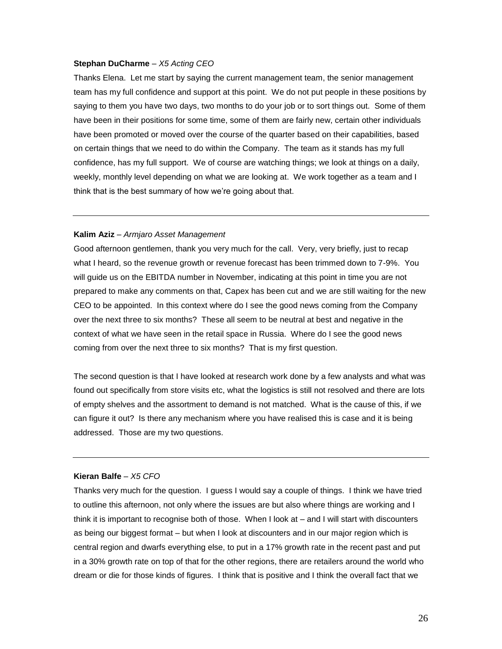#### **Stephan DuCharme** – *X5 Acting CEO*

Thanks Elena. Let me start by saying the current management team, the senior management team has my full confidence and support at this point. We do not put people in these positions by saying to them you have two days, two months to do your job or to sort things out. Some of them have been in their positions for some time, some of them are fairly new, certain other individuals have been promoted or moved over the course of the quarter based on their capabilities, based on certain things that we need to do within the Company. The team as it stands has my full confidence, has my full support. We of course are watching things; we look at things on a daily, weekly, monthly level depending on what we are looking at. We work together as a team and I think that is the best summary of how we're going about that.

# **Kalim Aziz** – *Armjaro Asset Management*

Good afternoon gentlemen, thank you very much for the call. Very, very briefly, just to recap what I heard, so the revenue growth or revenue forecast has been trimmed down to 7-9%. You will guide us on the EBITDA number in November, indicating at this point in time you are not prepared to make any comments on that, Capex has been cut and we are still waiting for the new CEO to be appointed. In this context where do I see the good news coming from the Company over the next three to six months? These all seem to be neutral at best and negative in the context of what we have seen in the retail space in Russia. Where do I see the good news coming from over the next three to six months? That is my first question.

The second question is that I have looked at research work done by a few analysts and what was found out specifically from store visits etc, what the logistics is still not resolved and there are lots of empty shelves and the assortment to demand is not matched. What is the cause of this, if we can figure it out? Is there any mechanism where you have realised this is case and it is being addressed. Those are my two questions.

# **Kieran Balfe** *– X5 CFO*

Thanks very much for the question. I guess I would say a couple of things. I think we have tried to outline this afternoon, not only where the issues are but also where things are working and I think it is important to recognise both of those. When I look at – and I will start with discounters as being our biggest format – but when I look at discounters and in our major region which is central region and dwarfs everything else, to put in a 17% growth rate in the recent past and put in a 30% growth rate on top of that for the other regions, there are retailers around the world who dream or die for those kinds of figures. I think that is positive and I think the overall fact that we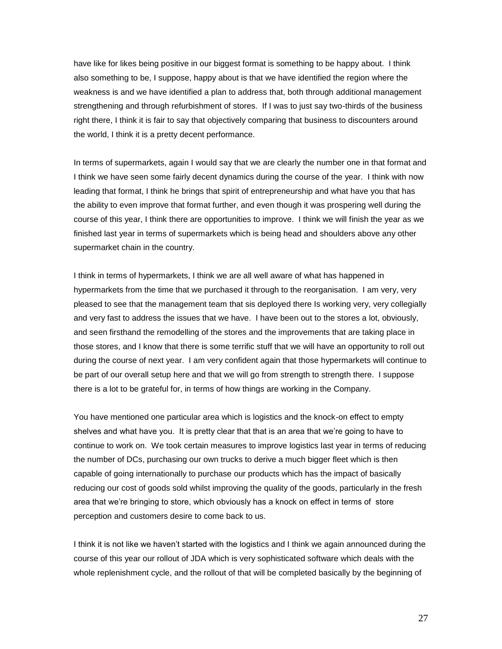have like for likes being positive in our biggest format is something to be happy about. I think also something to be, I suppose, happy about is that we have identified the region where the weakness is and we have identified a plan to address that, both through additional management strengthening and through refurbishment of stores. If I was to just say two-thirds of the business right there, I think it is fair to say that objectively comparing that business to discounters around the world, I think it is a pretty decent performance.

In terms of supermarkets, again I would say that we are clearly the number one in that format and I think we have seen some fairly decent dynamics during the course of the year. I think with now leading that format, I think he brings that spirit of entrepreneurship and what have you that has the ability to even improve that format further, and even though it was prospering well during the course of this year, I think there are opportunities to improve. I think we will finish the year as we finished last year in terms of supermarkets which is being head and shoulders above any other supermarket chain in the country.

I think in terms of hypermarkets, I think we are all well aware of what has happened in hypermarkets from the time that we purchased it through to the reorganisation. I am very, very pleased to see that the management team that sis deployed there Is working very, very collegially and very fast to address the issues that we have. I have been out to the stores a lot, obviously, and seen firsthand the remodelling of the stores and the improvements that are taking place in those stores, and I know that there is some terrific stuff that we will have an opportunity to roll out during the course of next year. I am very confident again that those hypermarkets will continue to be part of our overall setup here and that we will go from strength to strength there. I suppose there is a lot to be grateful for, in terms of how things are working in the Company.

You have mentioned one particular area which is logistics and the knock-on effect to empty shelves and what have you. It is pretty clear that that is an area that we're going to have to continue to work on. We took certain measures to improve logistics last year in terms of reducing the number of DCs, purchasing our own trucks to derive a much bigger fleet which is then capable of going internationally to purchase our products which has the impact of basically reducing our cost of goods sold whilst improving the quality of the goods, particularly in the fresh area that we're bringing to store, which obviously has a knock on effect in terms of store perception and customers desire to come back to us.

I think it is not like we haven't started with the logistics and I think we again announced during the course of this year our rollout of JDA which is very sophisticated software which deals with the whole replenishment cycle, and the rollout of that will be completed basically by the beginning of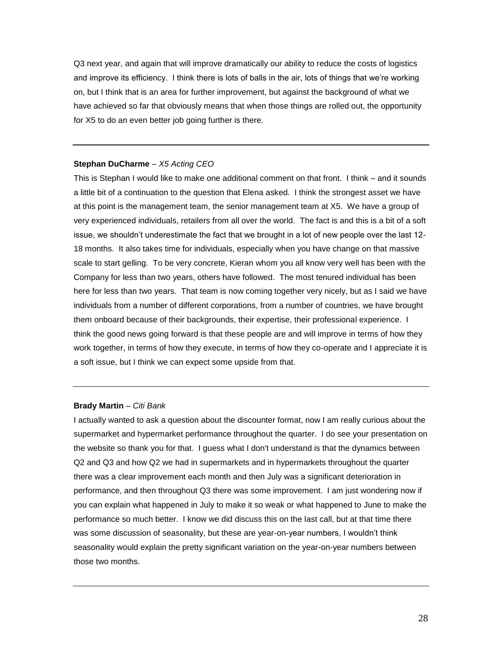Q3 next year, and again that will improve dramatically our ability to reduce the costs of logistics and improve its efficiency. I think there is lots of balls in the air, lots of things that we're working on, but I think that is an area for further improvement, but against the background of what we have achieved so far that obviously means that when those things are rolled out, the opportunity for X5 to do an even better job going further is there.

# **Stephan DuCharme** – *X5 Acting CEO*

This is Stephan I would like to make one additional comment on that front. I think – and it sounds a little bit of a continuation to the question that Elena asked. I think the strongest asset we have at this point is the management team, the senior management team at X5. We have a group of very experienced individuals, retailers from all over the world. The fact is and this is a bit of a soft issue, we shouldn't underestimate the fact that we brought in a lot of new people over the last 12- 18 months. It also takes time for individuals, especially when you have change on that massive scale to start gelling. To be very concrete, Kieran whom you all know very well has been with the Company for less than two years, others have followed. The most tenured individual has been here for less than two years. That team is now coming together very nicely, but as I said we have individuals from a number of different corporations, from a number of countries, we have brought them onboard because of their backgrounds, their expertise, their professional experience. I think the good news going forward is that these people are and will improve in terms of how they work together, in terms of how they execute, in terms of how they co-operate and I appreciate it is a soft issue, but I think we can expect some upside from that.

# **Brady Martin** – *Citi Bank*

I actually wanted to ask a question about the discounter format, now I am really curious about the supermarket and hypermarket performance throughout the quarter. I do see your presentation on the website so thank you for that. I guess what I don't understand is that the dynamics between Q2 and Q3 and how Q2 we had in supermarkets and in hypermarkets throughout the quarter there was a clear improvement each month and then July was a significant deterioration in performance, and then throughout Q3 there was some improvement. I am just wondering now if you can explain what happened in July to make it so weak or what happened to June to make the performance so much better. I know we did discuss this on the last call, but at that time there was some discussion of seasonality, but these are year-on-year numbers, I wouldn't think seasonality would explain the pretty significant variation on the year-on-year numbers between those two months.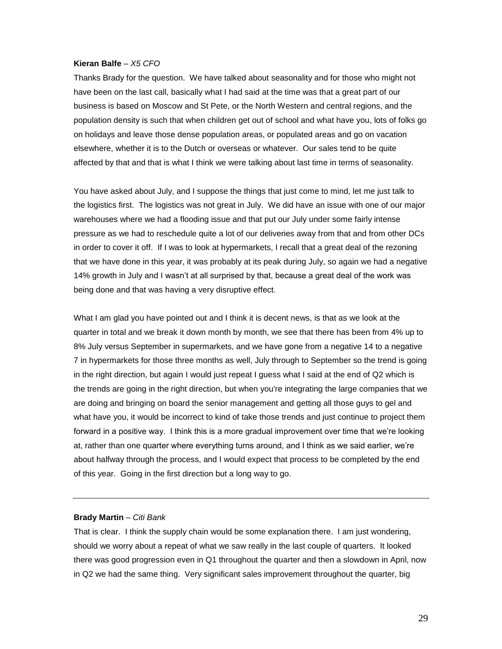Thanks Brady for the question. We have talked about seasonality and for those who might not have been on the last call, basically what I had said at the time was that a great part of our business is based on Moscow and St Pete, or the North Western and central regions, and the population density is such that when children get out of school and what have you, lots of folks go on holidays and leave those dense population areas, or populated areas and go on vacation elsewhere, whether it is to the Dutch or overseas or whatever. Our sales tend to be quite affected by that and that is what I think we were talking about last time in terms of seasonality.

You have asked about July, and I suppose the things that just come to mind, let me just talk to the logistics first. The logistics was not great in July. We did have an issue with one of our major warehouses where we had a flooding issue and that put our July under some fairly intense pressure as we had to reschedule quite a lot of our deliveries away from that and from other DCs in order to cover it off. If I was to look at hypermarkets, I recall that a great deal of the rezoning that we have done in this year, it was probably at its peak during July, so again we had a negative 14% growth in July and I wasn't at all surprised by that, because a great deal of the work was being done and that was having a very disruptive effect.

What I am glad you have pointed out and I think it is decent news, is that as we look at the quarter in total and we break it down month by month, we see that there has been from 4% up to 8% July versus September in supermarkets, and we have gone from a negative 14 to a negative 7 in hypermarkets for those three months as well, July through to September so the trend is going in the right direction, but again I would just repeat I guess what I said at the end of Q2 which is the trends are going in the right direction, but when you're integrating the large companies that we are doing and bringing on board the senior management and getting all those guys to gel and what have you, it would be incorrect to kind of take those trends and just continue to project them forward in a positive way. I think this is a more gradual improvement over time that we're looking at, rather than one quarter where everything turns around, and I think as we said earlier, we're about halfway through the process, and I would expect that process to be completed by the end of this year. Going in the first direction but a long way to go.

# **Brady Martin** – *Citi Bank*

That is clear. I think the supply chain would be some explanation there. I am just wondering, should we worry about a repeat of what we saw really in the last couple of quarters. It looked there was good progression even in Q1 throughout the quarter and then a slowdown in April, now in Q2 we had the same thing. Very significant sales improvement throughout the quarter, big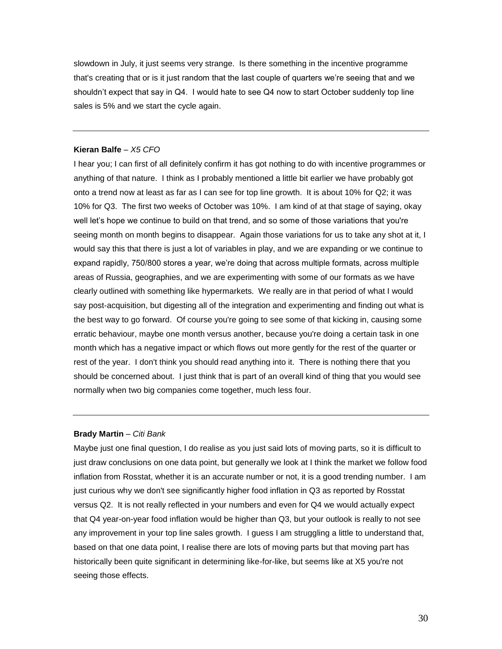slowdown in July, it just seems very strange. Is there something in the incentive programme that's creating that or is it just random that the last couple of quarters we're seeing that and we shouldn't expect that say in Q4. I would hate to see Q4 now to start October suddenly top line sales is 5% and we start the cycle again.

## **Kieran Balfe** *– X5 CFO*

I hear you; I can first of all definitely confirm it has got nothing to do with incentive programmes or anything of that nature. I think as I probably mentioned a little bit earlier we have probably got onto a trend now at least as far as I can see for top line growth. It is about 10% for Q2; it was 10% for Q3. The first two weeks of October was 10%. I am kind of at that stage of saying, okay well let's hope we continue to build on that trend, and so some of those variations that you're seeing month on month begins to disappear. Again those variations for us to take any shot at it, I would say this that there is just a lot of variables in play, and we are expanding or we continue to expand rapidly, 750/800 stores a year, we're doing that across multiple formats, across multiple areas of Russia, geographies, and we are experimenting with some of our formats as we have clearly outlined with something like hypermarkets. We really are in that period of what I would say post-acquisition, but digesting all of the integration and experimenting and finding out what is the best way to go forward. Of course you're going to see some of that kicking in, causing some erratic behaviour, maybe one month versus another, because you're doing a certain task in one month which has a negative impact or which flows out more gently for the rest of the quarter or rest of the year. I don't think you should read anything into it. There is nothing there that you should be concerned about. I just think that is part of an overall kind of thing that you would see normally when two big companies come together, much less four.

# **Brady Martin** – *Citi Bank*

Maybe just one final question, I do realise as you just said lots of moving parts, so it is difficult to just draw conclusions on one data point, but generally we look at I think the market we follow food inflation from Rosstat, whether it is an accurate number or not, it is a good trending number. I am just curious why we don't see significantly higher food inflation in Q3 as reported by Rosstat versus Q2. It is not really reflected in your numbers and even for Q4 we would actually expect that Q4 year-on-year food inflation would be higher than Q3, but your outlook is really to not see any improvement in your top line sales growth. I guess I am struggling a little to understand that, based on that one data point, I realise there are lots of moving parts but that moving part has historically been quite significant in determining like-for-like, but seems like at X5 you're not seeing those effects.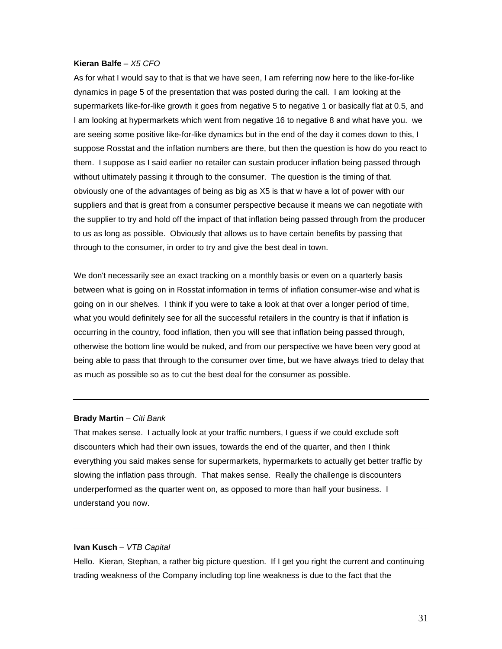As for what I would say to that is that we have seen, I am referring now here to the like-for-like dynamics in page 5 of the presentation that was posted during the call. I am looking at the supermarkets like-for-like growth it goes from negative 5 to negative 1 or basically flat at 0.5, and I am looking at hypermarkets which went from negative 16 to negative 8 and what have you. we are seeing some positive like-for-like dynamics but in the end of the day it comes down to this, I suppose Rosstat and the inflation numbers are there, but then the question is how do you react to them. I suppose as I said earlier no retailer can sustain producer inflation being passed through without ultimately passing it through to the consumer. The question is the timing of that. obviously one of the advantages of being as big as X5 is that w have a lot of power with our suppliers and that is great from a consumer perspective because it means we can negotiate with the supplier to try and hold off the impact of that inflation being passed through from the producer to us as long as possible. Obviously that allows us to have certain benefits by passing that through to the consumer, in order to try and give the best deal in town.

We don't necessarily see an exact tracking on a monthly basis or even on a quarterly basis between what is going on in Rosstat information in terms of inflation consumer-wise and what is going on in our shelves. I think if you were to take a look at that over a longer period of time, what you would definitely see for all the successful retailers in the country is that if inflation is occurring in the country, food inflation, then you will see that inflation being passed through, otherwise the bottom line would be nuked, and from our perspective we have been very good at being able to pass that through to the consumer over time, but we have always tried to delay that as much as possible so as to cut the best deal for the consumer as possible.

#### **Brady Martin** – *Citi Bank*

That makes sense. I actually look at your traffic numbers, I guess if we could exclude soft discounters which had their own issues, towards the end of the quarter, and then I think everything you said makes sense for supermarkets, hypermarkets to actually get better traffic by slowing the inflation pass through. That makes sense. Really the challenge is discounters underperformed as the quarter went on, as opposed to more than half your business. I understand you now.

#### **Ivan Kusch** – *VTB Capital*

Hello. Kieran, Stephan, a rather big picture question. If I get you right the current and continuing trading weakness of the Company including top line weakness is due to the fact that the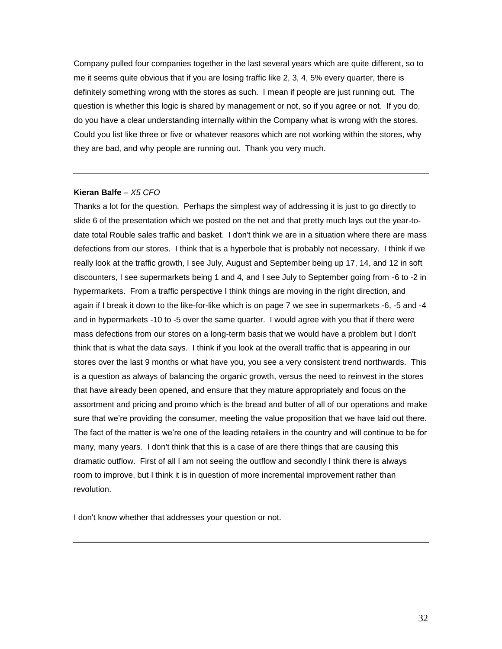Company pulled four companies together in the last several years which are quite different, so to me it seems quite obvious that if you are losing traffic like 2, 3, 4, 5% every quarter, there is definitely something wrong with the stores as such. I mean if people are just running out. The question is whether this logic is shared by management or not, so if you agree or not. If you do, do you have a clear understanding internally within the Company what is wrong with the stores. Could you list like three or five or whatever reasons which are not working within the stores, why they are bad, and why people are running out. Thank you very much.

#### **Kieran Balfe** *– X5 CFO*

Thanks a lot for the question. Perhaps the simplest way of addressing it is just to go directly to slide 6 of the presentation which we posted on the net and that pretty much lays out the year-todate total Rouble sales traffic and basket. I don't think we are in a situation where there are mass defections from our stores. I think that is a hyperbole that is probably not necessary. I think if we really look at the traffic growth, I see July, August and September being up 17, 14, and 12 in soft discounters, I see supermarkets being 1 and 4, and I see July to September going from -6 to -2 in hypermarkets. From a traffic perspective I think things are moving in the right direction, and again if I break it down to the like-for-like which is on page 7 we see in supermarkets -6, -5 and -4 and in hypermarkets -10 to -5 over the same quarter. I would agree with you that if there were mass defections from our stores on a long-term basis that we would have a problem but I don't think that is what the data says. I think if you look at the overall traffic that is appearing in our stores over the last 9 months or what have you, you see a very consistent trend northwards. This is a question as always of balancing the organic growth, versus the need to reinvest in the stores that have already been opened, and ensure that they mature appropriately and focus on the assortment and pricing and promo which is the bread and butter of all of our operations and make sure that we're providing the consumer, meeting the value proposition that we have laid out there. The fact of the matter is we're one of the leading retailers in the country and will continue to be for many, many years. I don't think that this is a case of are there things that are causing this dramatic outflow. First of all I am not seeing the outflow and secondly I think there is always room to improve, but I think it is in question of more incremental improvement rather than revolution.

I don't know whether that addresses your question or not.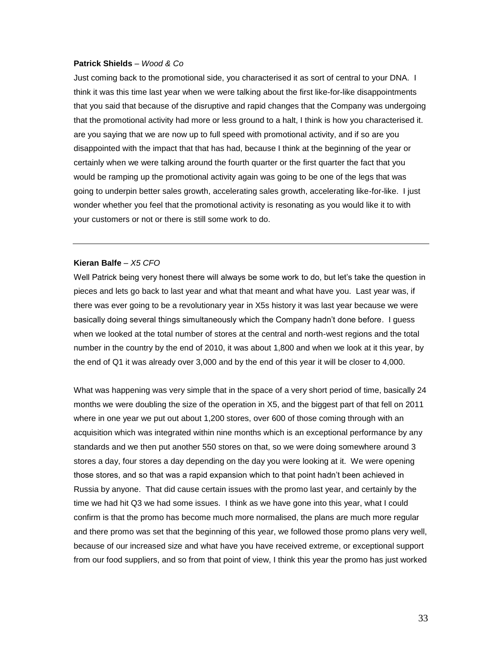#### **Patrick Shields** – *Wood & Co*

Just coming back to the promotional side, you characterised it as sort of central to your DNA. I think it was this time last year when we were talking about the first like-for-like disappointments that you said that because of the disruptive and rapid changes that the Company was undergoing that the promotional activity had more or less ground to a halt, I think is how you characterised it. are you saying that we are now up to full speed with promotional activity, and if so are you disappointed with the impact that that has had, because I think at the beginning of the year or certainly when we were talking around the fourth quarter or the first quarter the fact that you would be ramping up the promotional activity again was going to be one of the legs that was going to underpin better sales growth, accelerating sales growth, accelerating like-for-like. I just wonder whether you feel that the promotional activity is resonating as you would like it to with your customers or not or there is still some work to do.

# **Kieran Balfe** *– X5 CFO*

Well Patrick being very honest there will always be some work to do, but let's take the question in pieces and lets go back to last year and what that meant and what have you. Last year was, if there was ever going to be a revolutionary year in X5s history it was last year because we were basically doing several things simultaneously which the Company hadn't done before. I guess when we looked at the total number of stores at the central and north-west regions and the total number in the country by the end of 2010, it was about 1,800 and when we look at it this year, by the end of Q1 it was already over 3,000 and by the end of this year it will be closer to 4,000.

What was happening was very simple that in the space of a very short period of time, basically 24 months we were doubling the size of the operation in X5, and the biggest part of that fell on 2011 where in one year we put out about 1,200 stores, over 600 of those coming through with an acquisition which was integrated within nine months which is an exceptional performance by any standards and we then put another 550 stores on that, so we were doing somewhere around 3 stores a day, four stores a day depending on the day you were looking at it. We were opening those stores, and so that was a rapid expansion which to that point hadn't been achieved in Russia by anyone. That did cause certain issues with the promo last year, and certainly by the time we had hit Q3 we had some issues. I think as we have gone into this year, what I could confirm is that the promo has become much more normalised, the plans are much more regular and there promo was set that the beginning of this year, we followed those promo plans very well, because of our increased size and what have you have received extreme, or exceptional support from our food suppliers, and so from that point of view, I think this year the promo has just worked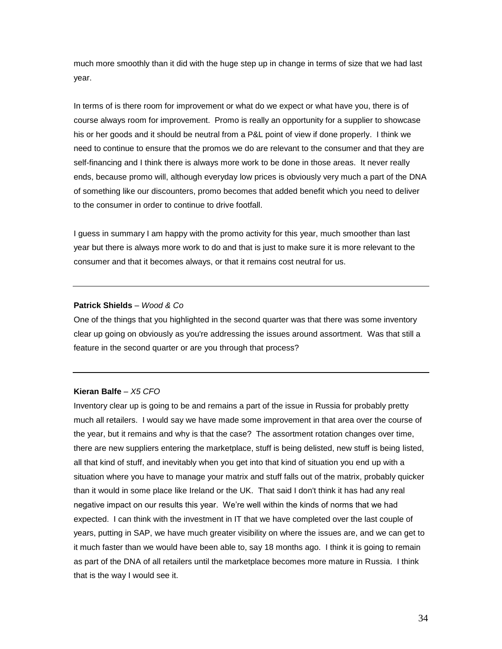much more smoothly than it did with the huge step up in change in terms of size that we had last year.

In terms of is there room for improvement or what do we expect or what have you, there is of course always room for improvement. Promo is really an opportunity for a supplier to showcase his or her goods and it should be neutral from a P&L point of view if done properly. I think we need to continue to ensure that the promos we do are relevant to the consumer and that they are self-financing and I think there is always more work to be done in those areas. It never really ends, because promo will, although everyday low prices is obviously very much a part of the DNA of something like our discounters, promo becomes that added benefit which you need to deliver to the consumer in order to continue to drive footfall.

I guess in summary I am happy with the promo activity for this year, much smoother than last year but there is always more work to do and that is just to make sure it is more relevant to the consumer and that it becomes always, or that it remains cost neutral for us.

# **Patrick Shields** – *Wood & Co*

One of the things that you highlighted in the second quarter was that there was some inventory clear up going on obviously as you're addressing the issues around assortment. Was that still a feature in the second quarter or are you through that process?

## **Kieran Balfe** *– X5 CFO*

Inventory clear up is going to be and remains a part of the issue in Russia for probably pretty much all retailers. I would say we have made some improvement in that area over the course of the year, but it remains and why is that the case? The assortment rotation changes over time, there are new suppliers entering the marketplace, stuff is being delisted, new stuff is being listed, all that kind of stuff, and inevitably when you get into that kind of situation you end up with a situation where you have to manage your matrix and stuff falls out of the matrix, probably quicker than it would in some place like Ireland or the UK. That said I don't think it has had any real negative impact on our results this year. We're well within the kinds of norms that we had expected. I can think with the investment in IT that we have completed over the last couple of years, putting in SAP, we have much greater visibility on where the issues are, and we can get to it much faster than we would have been able to, say 18 months ago. I think it is going to remain as part of the DNA of all retailers until the marketplace becomes more mature in Russia. I think that is the way I would see it.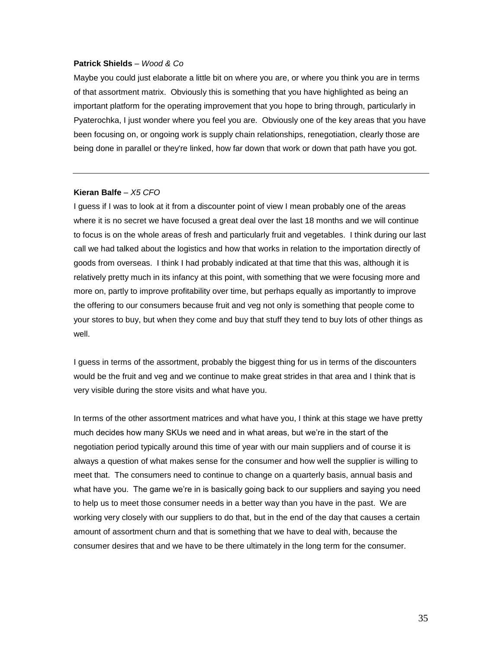## **Patrick Shields** – *Wood & Co*

Maybe you could just elaborate a little bit on where you are, or where you think you are in terms of that assortment matrix. Obviously this is something that you have highlighted as being an important platform for the operating improvement that you hope to bring through, particularly in Pyaterochka, I just wonder where you feel you are. Obviously one of the key areas that you have been focusing on, or ongoing work is supply chain relationships, renegotiation, clearly those are being done in parallel or they're linked, how far down that work or down that path have you got.

#### **Kieran Balfe** *– X5 CFO*

I guess if I was to look at it from a discounter point of view I mean probably one of the areas where it is no secret we have focused a great deal over the last 18 months and we will continue to focus is on the whole areas of fresh and particularly fruit and vegetables. I think during our last call we had talked about the logistics and how that works in relation to the importation directly of goods from overseas. I think I had probably indicated at that time that this was, although it is relatively pretty much in its infancy at this point, with something that we were focusing more and more on, partly to improve profitability over time, but perhaps equally as importantly to improve the offering to our consumers because fruit and veg not only is something that people come to your stores to buy, but when they come and buy that stuff they tend to buy lots of other things as well.

I guess in terms of the assortment, probably the biggest thing for us in terms of the discounters would be the fruit and veg and we continue to make great strides in that area and I think that is very visible during the store visits and what have you.

In terms of the other assortment matrices and what have you, I think at this stage we have pretty much decides how many SKUs we need and in what areas, but we're in the start of the negotiation period typically around this time of year with our main suppliers and of course it is always a question of what makes sense for the consumer and how well the supplier is willing to meet that. The consumers need to continue to change on a quarterly basis, annual basis and what have you. The game we're in is basically going back to our suppliers and saying you need to help us to meet those consumer needs in a better way than you have in the past. We are working very closely with our suppliers to do that, but in the end of the day that causes a certain amount of assortment churn and that is something that we have to deal with, because the consumer desires that and we have to be there ultimately in the long term for the consumer.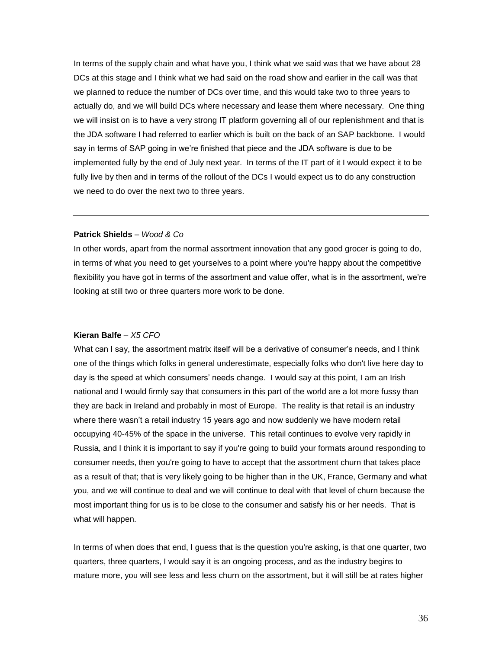In terms of the supply chain and what have you, I think what we said was that we have about 28 DCs at this stage and I think what we had said on the road show and earlier in the call was that we planned to reduce the number of DCs over time, and this would take two to three years to actually do, and we will build DCs where necessary and lease them where necessary. One thing we will insist on is to have a very strong IT platform governing all of our replenishment and that is the JDA software I had referred to earlier which is built on the back of an SAP backbone. I would say in terms of SAP going in we're finished that piece and the JDA software is due to be implemented fully by the end of July next year. In terms of the IT part of it I would expect it to be fully live by then and in terms of the rollout of the DCs I would expect us to do any construction we need to do over the next two to three years.

# **Patrick Shields** – *Wood & Co*

In other words, apart from the normal assortment innovation that any good grocer is going to do, in terms of what you need to get yourselves to a point where you're happy about the competitive flexibility you have got in terms of the assortment and value offer, what is in the assortment, we're looking at still two or three quarters more work to be done.

#### **Kieran Balfe** *– X5 CFO*

What can I say, the assortment matrix itself will be a derivative of consumer's needs, and I think one of the things which folks in general underestimate, especially folks who don't live here day to day is the speed at which consumers' needs change. I would say at this point, I am an Irish national and I would firmly say that consumers in this part of the world are a lot more fussy than they are back in Ireland and probably in most of Europe. The reality is that retail is an industry where there wasn't a retail industry 15 years ago and now suddenly we have modern retail occupying 40-45% of the space in the universe. This retail continues to evolve very rapidly in Russia, and I think it is important to say if you're going to build your formats around responding to consumer needs, then you're going to have to accept that the assortment churn that takes place as a result of that; that is very likely going to be higher than in the UK, France, Germany and what you, and we will continue to deal and we will continue to deal with that level of churn because the most important thing for us is to be close to the consumer and satisfy his or her needs. That is what will happen.

In terms of when does that end, I guess that is the question you're asking, is that one quarter, two quarters, three quarters, I would say it is an ongoing process, and as the industry begins to mature more, you will see less and less churn on the assortment, but it will still be at rates higher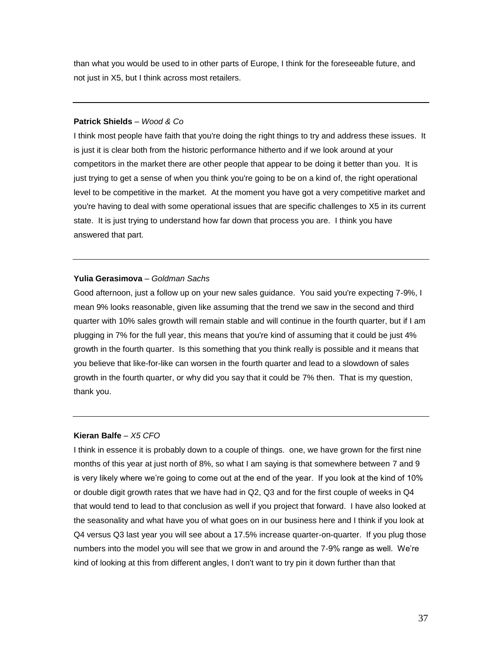than what you would be used to in other parts of Europe, I think for the foreseeable future, and not just in X5, but I think across most retailers.

# **Patrick Shields** – *Wood & Co*

I think most people have faith that you're doing the right things to try and address these issues. It is just it is clear both from the historic performance hitherto and if we look around at your competitors in the market there are other people that appear to be doing it better than you. It is just trying to get a sense of when you think you're going to be on a kind of, the right operational level to be competitive in the market. At the moment you have got a very competitive market and you're having to deal with some operational issues that are specific challenges to X5 in its current state. It is just trying to understand how far down that process you are. I think you have answered that part.

# **Yulia Gerasimova** – *Goldman Sachs*

Good afternoon, just a follow up on your new sales guidance. You said you're expecting 7-9%, I mean 9% looks reasonable, given like assuming that the trend we saw in the second and third quarter with 10% sales growth will remain stable and will continue in the fourth quarter, but if I am plugging in 7% for the full year, this means that you're kind of assuming that it could be just 4% growth in the fourth quarter. Is this something that you think really is possible and it means that you believe that like-for-like can worsen in the fourth quarter and lead to a slowdown of sales growth in the fourth quarter, or why did you say that it could be 7% then. That is my question, thank you.

# **Kieran Balfe** *– X5 CFO*

I think in essence it is probably down to a couple of things. one, we have grown for the first nine months of this year at just north of 8%, so what I am saying is that somewhere between 7 and 9 is very likely where we're going to come out at the end of the year. If you look at the kind of 10% or double digit growth rates that we have had in Q2, Q3 and for the first couple of weeks in Q4 that would tend to lead to that conclusion as well if you project that forward. I have also looked at the seasonality and what have you of what goes on in our business here and I think if you look at Q4 versus Q3 last year you will see about a 17.5% increase quarter-on-quarter. If you plug those numbers into the model you will see that we grow in and around the 7-9% range as well. We're kind of looking at this from different angles, I don't want to try pin it down further than that